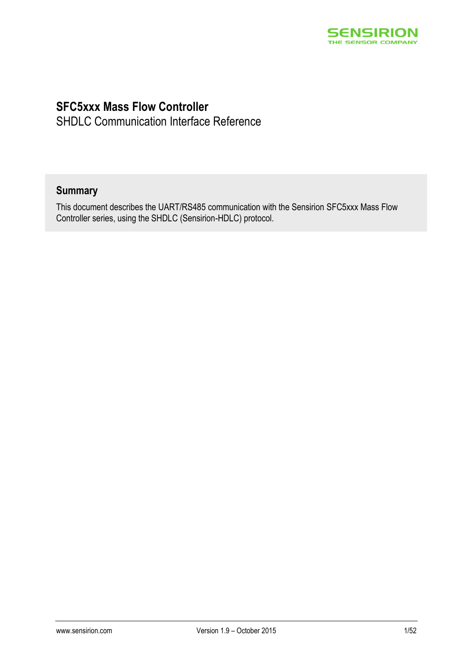

### **SFC5xxx Mass Flow Controller**

SHDLC Communication Interface Reference

### **Summary**

This document describes the UART/RS485 communication with the Sensirion SFC5xxx Mass Flow Controller series, using the SHDLC (Sensirion-HDLC) protocol.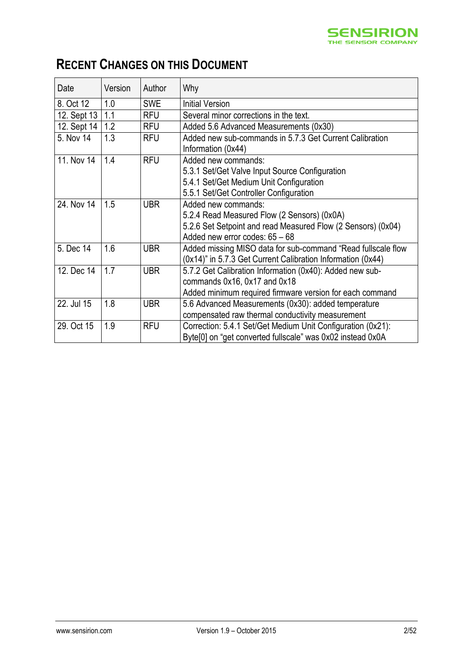

# **RECENT CHANGES ON THIS DOCUMENT**

| Date        | Version | Author     | Why                                                                                                                                                                  |
|-------------|---------|------------|----------------------------------------------------------------------------------------------------------------------------------------------------------------------|
| 8. Oct 12   | 1.0     | <b>SWE</b> | <b>Initial Version</b>                                                                                                                                               |
| 12. Sept 13 | 1.1     | <b>RFU</b> | Several minor corrections in the text.                                                                                                                               |
| 12. Sept 14 | 1.2     | <b>RFU</b> | Added 5.6 Advanced Measurements (0x30)                                                                                                                               |
| 5. Nov 14   | 1.3     | <b>RFU</b> | Added new sub-commands in 5.7.3 Get Current Calibration<br>Information (0x44)                                                                                        |
| 11. Nov 14  | 1.4     | <b>RFU</b> | Added new commands:<br>5.3.1 Set/Get Valve Input Source Configuration<br>5.4.1 Set/Get Medium Unit Configuration<br>5.5.1 Set/Get Controller Configuration           |
| 24. Nov 14  | 1.5     | <b>UBR</b> | Added new commands:<br>5.2.4 Read Measured Flow (2 Sensors) (0x0A)<br>5.2.6 Set Setpoint and read Measured Flow (2 Sensors) (0x04)<br>Added new error codes: 65 - 68 |
| 5. Dec 14   | 1.6     | <b>UBR</b> | Added missing MISO data for sub-command "Read fullscale flow<br>(0x14)" in 5.7.3 Get Current Calibration Information (0x44)                                          |
| 12. Dec 14  | 1.7     | <b>UBR</b> | 5.7.2 Get Calibration Information (0x40): Added new sub-<br>commands 0x16, 0x17 and 0x18<br>Added minimum required firmware version for each command                 |
| 22. Jul 15  | 1.8     | <b>UBR</b> | 5.6 Advanced Measurements (0x30): added temperature<br>compensated raw thermal conductivity measurement                                                              |
| 29. Oct 15  | 1.9     | <b>RFU</b> | Correction: 5.4.1 Set/Get Medium Unit Configuration (0x21):<br>Byte[0] on "get converted fullscale" was 0x02 instead 0x0A                                            |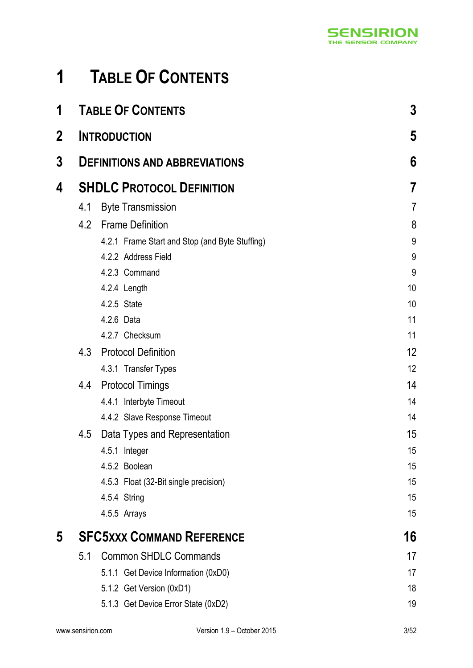# <span id="page-2-0"></span>**1 TABLE OF CONTENTS**

| 1           |     | <b>TABLE OF CONTENTS</b>                       | 3              |
|-------------|-----|------------------------------------------------|----------------|
| $\mathbf 2$ |     | <b>INTRODUCTION</b>                            | 5              |
| 3           |     | <b>DEFINITIONS AND ABBREVIATIONS</b>           | 6              |
| 4           |     | <b>SHDLC PROTOCOL DEFINITION</b>               | 7              |
|             | 4.1 | <b>Byte Transmission</b>                       | $\overline{7}$ |
|             | 4.2 | <b>Frame Definition</b>                        | 8              |
|             |     | 4.2.1 Frame Start and Stop (and Byte Stuffing) | 9              |
|             |     | 4.2.2 Address Field                            | 9              |
|             |     | 4.2.3 Command                                  | 9              |
|             |     | 4.2.4 Length                                   | 10             |
|             |     | 4.2.5 State                                    | 10             |
|             |     | 4.2.6 Data                                     | 11             |
|             |     | 4.2.7 Checksum                                 | 11             |
|             | 4.3 | <b>Protocol Definition</b>                     | 12             |
|             |     | 4.3.1 Transfer Types                           | 12             |
|             | 4.4 | <b>Protocol Timings</b>                        | 14             |
|             |     | 4.4.1 Interbyte Timeout                        | 14             |
|             |     | 4.4.2 Slave Response Timeout                   | 14             |
|             | 4.5 | Data Types and Representation                  | 15             |
|             |     | 4.5.1 Integer                                  | 15             |
|             |     | 4.5.2 Boolean                                  | 15             |
|             |     | 4.5.3 Float (32-Bit single precision)          | 15             |
|             |     | 4.5.4 String                                   | 15             |
|             |     | 4.5.5 Arrays                                   | 15             |
| 5           |     | <b>SFC5XXX COMMAND REFERENCE</b>               | 16             |
|             | 5.1 | <b>Common SHDLC Commands</b>                   | 17             |
|             |     | 5.1.1 Get Device Information (0xD0)            | 17             |
|             |     | 5.1.2 Get Version (0xD1)                       | 18             |
|             |     | 5.1.3 Get Device Error State (0xD2)            | 19             |
|             |     |                                                |                |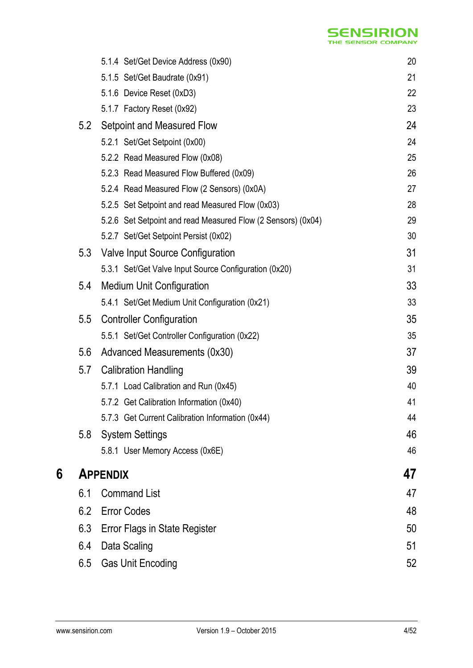# **SENSIRION**

|   |     | 5.1.4 Set/Get Device Address (0x90)                          | 20 |
|---|-----|--------------------------------------------------------------|----|
|   |     | 5.1.5 Set/Get Baudrate (0x91)                                | 21 |
|   |     | 5.1.6 Device Reset (0xD3)                                    | 22 |
|   |     | 5.1.7 Factory Reset (0x92)                                   | 23 |
|   | 5.2 | Setpoint and Measured Flow                                   | 24 |
|   |     | 5.2.1 Set/Get Setpoint (0x00)                                | 24 |
|   |     | 5.2.2 Read Measured Flow (0x08)                              | 25 |
|   |     | 5.2.3 Read Measured Flow Buffered (0x09)                     | 26 |
|   |     | 5.2.4 Read Measured Flow (2 Sensors) (0x0A)                  | 27 |
|   |     | 5.2.5 Set Setpoint and read Measured Flow (0x03)             | 28 |
|   |     | 5.2.6 Set Setpoint and read Measured Flow (2 Sensors) (0x04) | 29 |
|   |     | 5.2.7 Set/Get Setpoint Persist (0x02)                        | 30 |
|   | 5.3 | Valve Input Source Configuration                             | 31 |
|   |     | 5.3.1 Set/Get Valve Input Source Configuration (0x20)        | 31 |
|   | 5.4 | <b>Medium Unit Configuration</b>                             | 33 |
|   |     | 5.4.1 Set/Get Medium Unit Configuration (0x21)               | 33 |
|   | 5.5 | <b>Controller Configuration</b>                              | 35 |
|   |     | 5.5.1 Set/Get Controller Configuration (0x22)                | 35 |
|   | 5.6 | Advanced Measurements (0x30)                                 | 37 |
|   | 5.7 | <b>Calibration Handling</b>                                  | 39 |
|   |     | 5.7.1 Load Calibration and Run (0x45)                        | 40 |
|   |     | 5.7.2 Get Calibration Information (0x40)                     | 41 |
|   |     | 5.7.3 Get Current Calibration Information (0x44)             | 44 |
|   | 5.8 | <b>System Settings</b>                                       | 46 |
|   |     | 5.8.1 User Memory Access (0x6E)                              | 46 |
| 6 |     | <b>APPENDIX</b>                                              | 47 |
|   | 6.1 | <b>Command List</b>                                          | 47 |
|   | 6.2 | <b>Error Codes</b>                                           | 48 |
|   | 6.3 | <b>Error Flags in State Register</b>                         | 50 |
|   | 6.4 | Data Scaling                                                 | 51 |
|   | 6.5 | <b>Gas Unit Encoding</b>                                     | 52 |
|   |     |                                                              |    |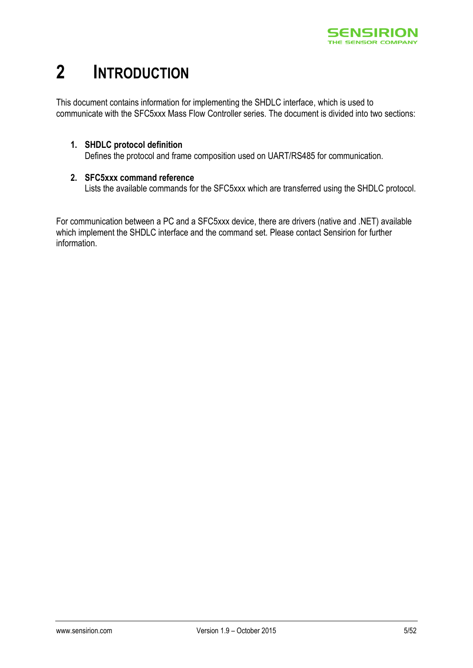

# <span id="page-4-0"></span>**2 INTRODUCTION**

This document contains information for implementing the SHDLC interface, which is used to communicate with the SFC5xxx Mass Flow Controller series. The document is divided into two sections:

#### **1. SHDLC protocol definition**

Defines the protocol and frame composition used on UART/RS485 for communication.

#### **2. SFC5xxx command reference**

Lists the available commands for the SFC5xxx which are transferred using the SHDLC protocol.

For communication between a PC and a SFC5xxx device, there are drivers (native and .NET) available which implement the SHDLC interface and the command set. Please contact Sensirion for further information.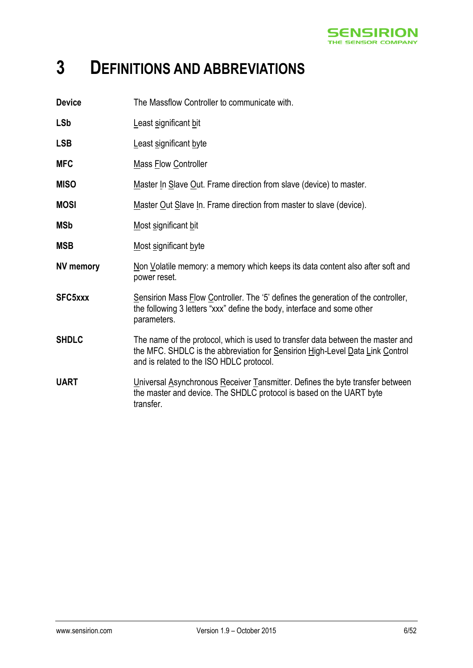

# <span id="page-5-0"></span>**3 DEFINITIONS AND ABBREVIATIONS**

| <b>Device</b>    | The Massflow Controller to communicate with.                                                                                                                                                                 |
|------------------|--------------------------------------------------------------------------------------------------------------------------------------------------------------------------------------------------------------|
| <b>LSb</b>       | Least significant bit                                                                                                                                                                                        |
| <b>LSB</b>       | Least significant byte                                                                                                                                                                                       |
| <b>MFC</b>       | <b>Mass Flow Controller</b>                                                                                                                                                                                  |
| <b>MISO</b>      | Master In Slave Out. Frame direction from slave (device) to master.                                                                                                                                          |
| <b>MOSI</b>      | Master Out Slave In. Frame direction from master to slave (device).                                                                                                                                          |
| <b>MSb</b>       | Most significant bit                                                                                                                                                                                         |
| <b>MSB</b>       | Most significant byte                                                                                                                                                                                        |
| <b>NV memory</b> | Non Volatile memory: a memory which keeps its data content also after soft and<br>power reset.                                                                                                               |
| SFC5xxx          | Sensirion Mass Flow Controller. The '5' defines the generation of the controller,<br>the following 3 letters "xxx" define the body, interface and some other<br>parameters.                                  |
| <b>SHDLC</b>     | The name of the protocol, which is used to transfer data between the master and<br>the MFC. SHDLC is the abbreviation for Sensirion High-Level Data Link Control<br>and is related to the ISO HDLC protocol. |
| <b>UART</b>      | Universal Asynchronous Receiver Tansmitter. Defines the byte transfer between<br>the master and device. The SHDLC protocol is based on the UART byte<br>transfer.                                            |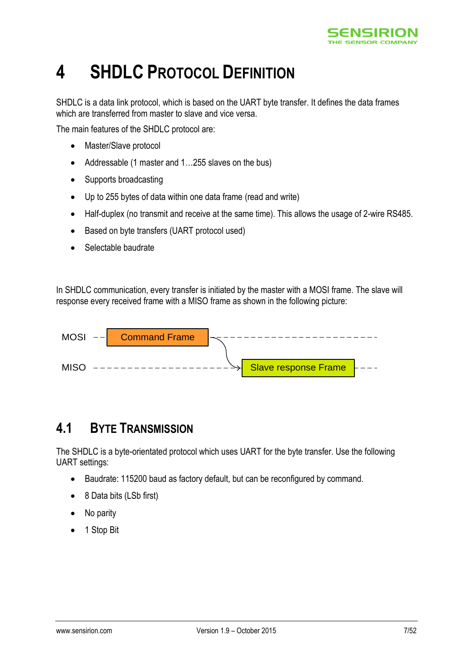

# <span id="page-6-0"></span>**4 SHDLC PROTOCOL DEFINITION**

SHDLC is a data link protocol, which is based on the UART byte transfer. It defines the data frames which are transferred from master to slave and vice versa.

The main features of the SHDLC protocol are:

- Master/Slave protocol
- Addressable (1 master and 1...255 slaves on the bus)
- Supports broadcasting
- Up to 255 bytes of data within one data frame (read and write)
- Half-duplex (no transmit and receive at the same time). This allows the usage of 2-wire RS485.
- Based on byte transfers (UART protocol used)
- Selectable baudrate

In SHDLC communication, every transfer is initiated by the master with a MOSI frame. The slave will response every received frame with a MISO frame as shown in the following picture:



### <span id="page-6-1"></span>**4.1 BYTE TRANSMISSION**

The SHDLC is a byte-orientated protocol which uses UART for the byte transfer. Use the following UART settings:

- Baudrate: 115200 baud as factory default, but can be reconfigured by command.
- 8 Data bits (LSb first)
- No parity
- 1 Stop Bit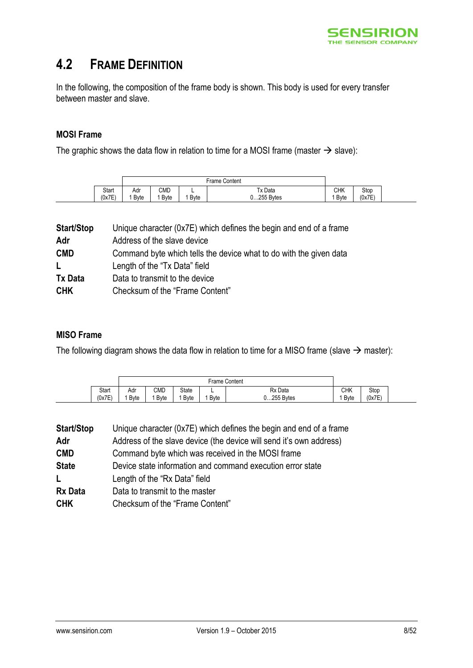

### <span id="page-7-0"></span>**4.2 FRAME DEFINITION**

In the following, the composition of the frame body is shown. This body is used for every transfer between master and slave.

#### **MOSI Frame**

The graphic shows the data flow in relation to time for a MOSI frame (master  $\rightarrow$  slave):

|        | Frame Content |              |              |              |              |        |
|--------|---------------|--------------|--------------|--------------|--------------|--------|
| Start  | Adr           | CMD          | -            | Tx Data      | <b>CHK</b>   | Stop   |
| (0x7E) | <b>B</b> vte  | <b>B</b> vte | <b>B</b> vte | $0255$ Bytes | <b>B</b> vte | (0x7E) |

| <b>Start/Stop</b> | Unique character (0x7E) which defines the begin and end of a frame |
|-------------------|--------------------------------------------------------------------|
| Adr               | Address of the slave device                                        |
| <b>CMD</b>        | Command byte which tells the device what to do with the given data |
| L                 | Length of the "Tx Data" field                                      |
| <b>Tx Data</b>    | Data to transmit to the device                                     |
| <b>CHK</b>        | Checksum of the "Frame Content"                                    |
|                   |                                                                    |

#### **MISO Frame**

The following diagram shows the data flow in relation to time for a MISO frame (slave  $\rightarrow$  master):

|                 |                     | <b>Frame Content</b> |                      |                   |                       |                                 |                |  |
|-----------------|---------------------|----------------------|----------------------|-------------------|-----------------------|---------------------------------|----------------|--|
| Start<br>(0x7E) | Adr<br><b>B</b> vte | CMD<br>Byte          | State<br><b>Byte</b> | -<br><b>B</b> vte | Rx Data<br>0255 Bytes | СНК<br>$\cdots$<br><b>B</b> vte | Stop<br>(0x7E) |  |

| <b>Start/Stop</b> | Unique character (0x7E) which defines the begin and end of a frame  |
|-------------------|---------------------------------------------------------------------|
| Adr               | Address of the slave device (the device will send it's own address) |
| <b>CMD</b>        | Command byte which was received in the MOSI frame                   |
| <b>State</b>      | Device state information and command execution error state          |
| L                 | Length of the "Rx Data" field                                       |
| <b>Rx Data</b>    | Data to transmit to the master                                      |
| <b>CHK</b>        | Checksum of the "Frame Content"                                     |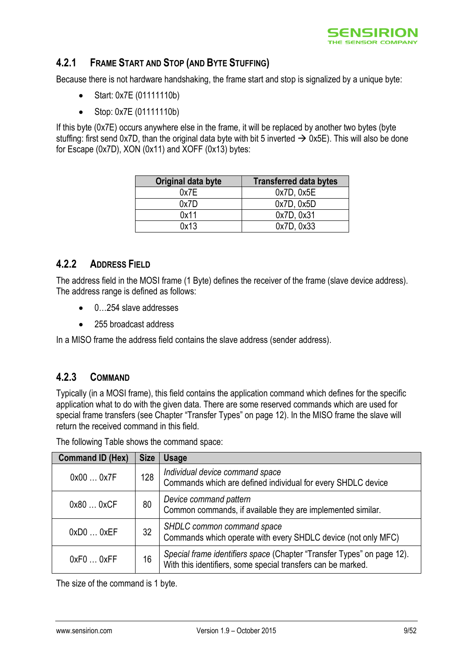

#### <span id="page-8-0"></span>**4.2.1 FRAME START AND STOP (AND BYTE STUFFING)**

Because there is not hardware handshaking, the frame start and stop is signalized by a unique byte:

- Start: 0x7E (01111110b)
- Stop: 0x7E (01111110b)

If this byte (0x7E) occurs anywhere else in the frame, it will be replaced by another two bytes (byte stuffing: first send 0x7D, than the original data byte with bit 5 inverted  $\rightarrow$  0x5E). This will also be done for Escape (0x7D), XON (0x11) and XOFF (0x13) bytes:

| Original data byte | <b>Transferred data bytes</b> |
|--------------------|-------------------------------|
| 0x7E               | 0x7D, 0x5E                    |
| 0x7D               | 0x7D, 0x5D                    |
| 0x11               | 0x7D, 0x31                    |
| 0x13               | 0x7D, 0x33                    |

#### <span id="page-8-1"></span>**4.2.2 ADDRESS FIELD**

The address field in the MOSI frame (1 Byte) defines the receiver of the frame (slave device address). The address range is defined as follows:

- 0…254 slave addresses
- 255 broadcast address

In a MISO frame the address field contains the slave address (sender address).

#### <span id="page-8-2"></span>**4.2.3 COMMAND**

Typically (in a MOSI frame), this field contains the application command which defines for the specific application what to do with the given data. There are some reserved commands which are used for special frame transfers (see Chapter "[Transfer Types](#page-11-1)" on page [12\)](#page-11-1). In the MISO frame the slave will return the received command in this field.

| <b>Command ID (Hex)</b> | <b>Size</b> | <b>Usage</b>                                                                                                                           |
|-------------------------|-------------|----------------------------------------------------------------------------------------------------------------------------------------|
| 0x000x7F                | 128         | Individual device command space<br>Commands which are defined individual for every SHDLC device                                        |
| 0x800xCF                | 80          | Device command pattern<br>Common commands, if available they are implemented similar.                                                  |
| 0xD00xEF                | 32          | SHDLC common command space<br>Commands which operate with every SHDLC device (not only MFC)                                            |
| 0xF00xFF                | 16          | Special frame identifiers space (Chapter "Transfer Types" on page 12).<br>With this identifiers, some special transfers can be marked. |

The following Table shows the command space:

The size of the command is 1 byte.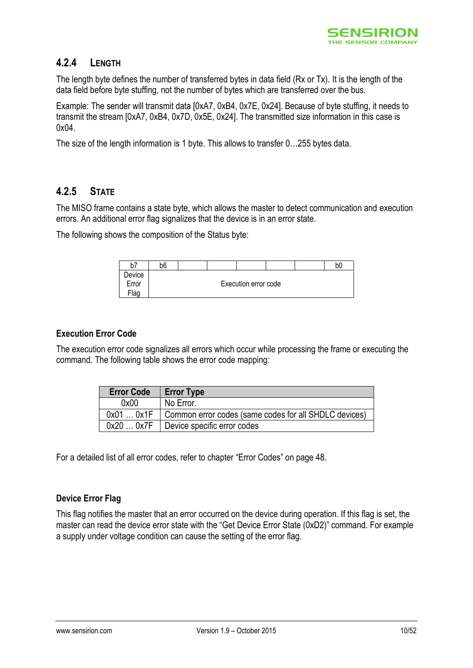

#### <span id="page-9-0"></span>**4.2.4 LENGTH**

The length byte defines the number of transferred bytes in data field (Rx or Tx). It is the length of the data field before byte stuffing, not the number of bytes which are transferred over the bus.

Example: The sender will transmit data [0xA7, 0xB4, 0x7E, 0x24]. Because of byte stuffing, it needs to transmit the stream [0xA7, 0xB4, 0x7D, 0x5E, 0x24]. The transmitted size information in this case is 0x04.

The size of the length information is 1 byte. This allows to transfer 0…255 bytes data.

#### <span id="page-9-1"></span>**4.2.5 STATE**

The MISO frame contains a state byte, which allows the master to detect communication and execution errors. An additional error flag signalizes that the device is in an error state.

The following shows the composition of the Status byte:

| b7               | b <sub>6</sub> |  |                      |  | bC |
|------------------|----------------|--|----------------------|--|----|
| Device           |                |  |                      |  |    |
| Error            |                |  | Execution error code |  |    |
| <sup>⊏</sup> lag |                |  |                      |  |    |

#### **Execution Error Code**

The execution error code signalizes all errors which occur while processing the frame or executing the command. The following table shows the error code mapping:

| <b>Error Code</b> | <b>Error Type</b>                                     |
|-------------------|-------------------------------------------------------|
| 0x00              | No Error.                                             |
| 0x010x1F          | Common error codes (same codes for all SHDLC devices) |
| 0x200x7F          | Device specific error codes                           |

For a detailed list of all error codes, refer to chapter "[Error Codes](#page-47-0)" on page [48.](#page-47-0)

#### **Device Error Flag**

This flag notifies the master that an error occurred on the device during operation. If this flag is set, the master can read the device error state with the "[Get Device Error State](#page-18-0) (0xD2)" command. For example a supply under voltage condition can cause the setting of the error flag.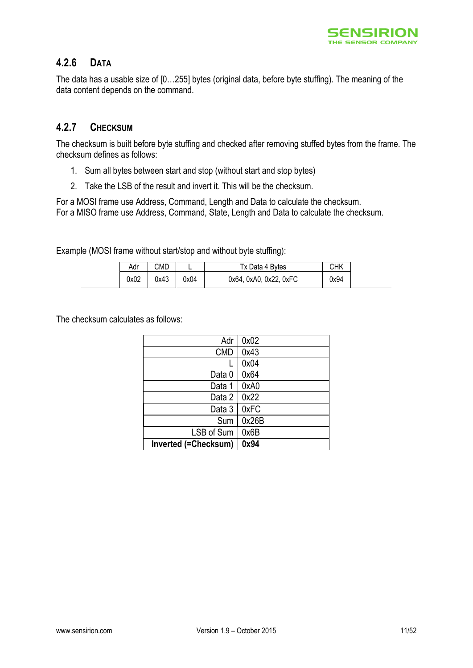

#### <span id="page-10-0"></span>**4.2.6 DATA**

The data has a usable size of [0…255] bytes (original data, before byte stuffing). The meaning of the data content depends on the command.

#### <span id="page-10-1"></span>**4.2.7 CHECKSUM**

The checksum is built before byte stuffing and checked after removing stuffed bytes from the frame. The checksum defines as follows:

- 1. Sum all bytes between start and stop (without start and stop bytes)
- 2. Take the LSB of the result and invert it. This will be the checksum.

For a MOSI frame use Address, Command, Length and Data to calculate the checksum. For a MISO frame use Address, Command, State, Length and Data to calculate the checksum.

Example (MOSI frame without start/stop and without byte stuffing):

| Adr  | CMD  | -    | Tx Data 4 Bytes        | CHK  |
|------|------|------|------------------------|------|
| 0x02 | 0x43 | 0x04 | 0x64, 0xA0, 0x22, 0xFC | 0x94 |

The checksum calculates as follows:

| Adr                         | 0x02  |
|-----------------------------|-------|
| <b>CMD</b>                  | 0x43  |
|                             | 0x04  |
| Data 0                      | 0x64  |
| Data 1                      | 0xA0  |
| Data 2                      | 0x22  |
| Data 3                      | 0xFC  |
| Sum                         | 0x26B |
| LSB of Sum                  | 0x6B  |
| <b>Inverted (=Checksum)</b> | 0x94  |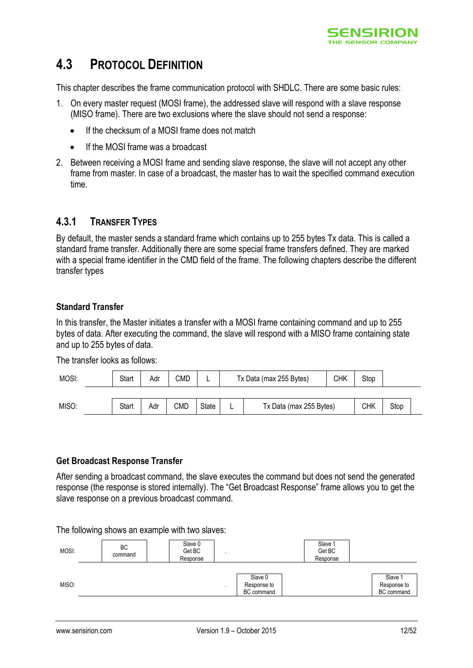

### <span id="page-11-0"></span>**4.3 PROTOCOL DEFINITION**

This chapter describes the frame communication protocol with SHDLC. There are some basic rules:

- 1. On every master request (MOSI frame), the addressed slave will respond with a slave response (MISO frame). There are two exclusions where the slave should not send a response:
	- If the checksum of a MOSI frame does not match
	- If the MOSI frame was a broadcast
- 2. Between receiving a MOSI frame and sending slave response, the slave will not accept any other frame from master. In case of a broadcast, the master has to wait the specified command execution time.

#### <span id="page-11-1"></span>**4.3.1 TRANSFER TYPES**

By default, the master sends a standard frame which contains up to 255 bytes Tx data. This is called a standard frame transfer. Additionally there are some special frame transfers defined. They are marked with a special frame identifier in the CMD field of the frame. The following chapters describe the different transfer types

#### **Standard Transfer**

In this transfer, the Master initiates a transfer with a MOSI frame containing command and up to 255 bytes of data. After executing the command, the slave will respond with a MISO frame containing state and up to 255 bytes of data.

The transfer looks as follows:

| MOSI: | <b>Start</b> | Adr | CMD |       |   | Tx Data (max 255 Bytes) | СНК | Stop |      |  |
|-------|--------------|-----|-----|-------|---|-------------------------|-----|------|------|--|
|       |              |     |     |       |   |                         |     |      |      |  |
| MISO: | Start        | Adr | CMD | State | - | Tx Data (max 255 Bytes) |     | СНК  | Stop |  |

#### **Get Broadcast Response Transfer**

After sending a broadcast command, the slave executes the command but does not send the generated response (the response is stored internally). The "Get Broadcast Response" frame allows you to get the slave response on a previous broadcast command.

The following shows an example with two slaves:

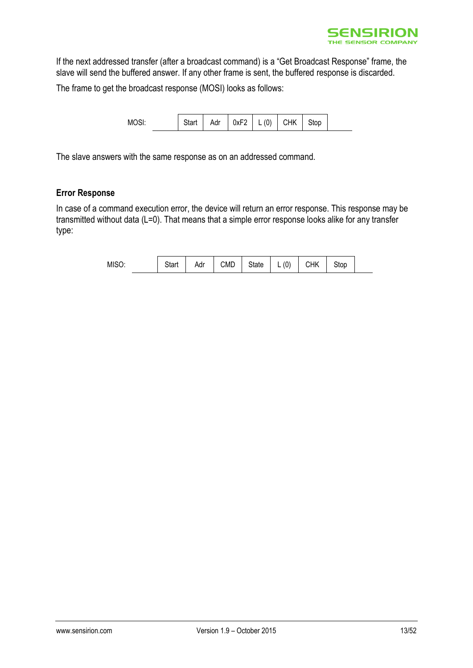

If the next addressed transfer (after a broadcast command) is a "Get Broadcast Response" frame, the slave will send the buffered answer. If any other frame is sent, the buffered response is discarded.

The frame to get the broadcast response (MOSI) looks as follows:

| MOSI: |  | <b>Start</b> | Adr | $0xF2$ L | (0) | <b>CHK</b> | Stop |
|-------|--|--------------|-----|----------|-----|------------|------|
|-------|--|--------------|-----|----------|-----|------------|------|

The slave answers with the same response as on an addressed command.

#### **Error Response**

In case of a command execution error, the device will return an error response. This response may be transmitted without data (L=0). That means that a simple error response looks alike for any transfer type:

| MISO. | . tort<br>υιαιι | Adr | <b>CMD</b> | State | $\binom{1}{1}$<br>ν<br>- | CHK | Stop |
|-------|-----------------|-----|------------|-------|--------------------------|-----|------|
|-------|-----------------|-----|------------|-------|--------------------------|-----|------|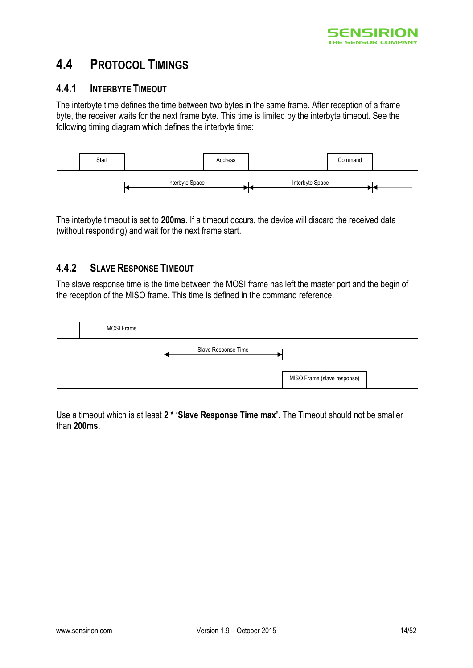

### <span id="page-13-0"></span>**4.4 PROTOCOL TIMINGS**

#### <span id="page-13-1"></span>**4.4.1 INTERBYTE TIMEOUT**

The interbyte time defines the time between two bytes in the same frame. After reception of a frame byte, the receiver waits for the next frame byte. This time is limited by the interbyte timeout. See the following timing diagram which defines the interbyte time:



The interbyte timeout is set to **200ms**. If a timeout occurs, the device will discard the received data (without responding) and wait for the next frame start.

#### <span id="page-13-2"></span>**4.4.2 SLAVE RESPONSE TIMEOUT**

The slave response time is the time between the MOSI frame has left the master port and the begin of the reception of the MISO frame. This time is defined in the command reference.



Use a timeout which is at least **2 \* 'Slave Response Time max'**. The Timeout should not be smaller than **200ms**.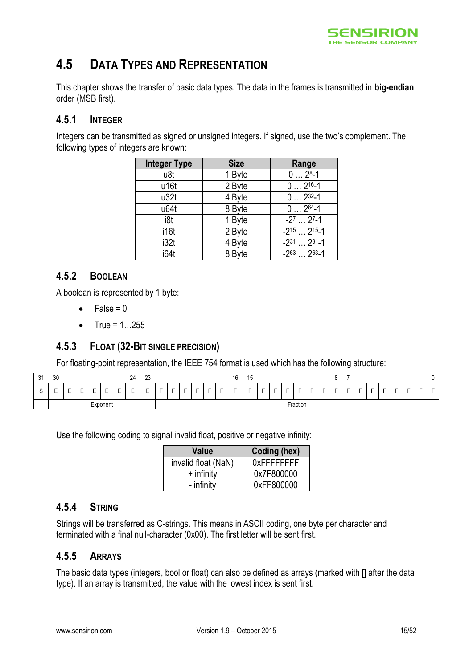

## <span id="page-14-0"></span>**4.5 DATA TYPES AND REPRESENTATION**

This chapter shows the transfer of basic data types. The data in the frames is transmitted in **big-endian** order (MSB first).

#### <span id="page-14-1"></span>**4.5.1 INTEGER**

Integers can be transmitted as signed or unsigned integers. If signed, use the two's complement. The following types of integers are known:

| <b>Integer Type</b> | <b>Size</b> | Range                                 |
|---------------------|-------------|---------------------------------------|
| u8t                 | 1 Byte      | $02^{8}-1$                            |
| u16t                | 2 Byte      | $02^{16-1}$                           |
| u32t                | 4 Byte      | $02^{32-1}$                           |
| u64t                | 8 Byte      | $02^{64-1}$                           |
| i8t                 | 1 Byte      | $-2^7$ 2 <sup>7</sup> -1              |
| i16t                | 2 Byte      | $-2^{15}$ 2 <sup>15</sup> -1          |
| i32t                | 4 Byte      | $-2^{31}$ $\ldots$ 2 <sup>31</sup> -1 |
| i64t                | 8 Byte      | $-2^{63}$ $-2^{63}$ -1                |

### <span id="page-14-2"></span>**4.5.2 BOOLEAN**

A boolean is represented by 1 byte:

- $\bullet$  False = 0
- $\bullet$  True = 1...255

#### <span id="page-14-3"></span>**4.5.3 FLOAT (32-BIT SINGLE PRECISION)**

For floating-point representation, the IEEE 754 format is used which has the following structure:

| 31          | 30                            |        |        |        |          | 24     | $\sim$<br>ںے |                |   |   |                          |                          |   | 16 | 15<br>∪ו |                          |                          |                     |                          |   |   |   |   |                          |                          |                          |                          |   |                |                          |
|-------------|-------------------------------|--------|--------|--------|----------|--------|--------------|----------------|---|---|--------------------------|--------------------------|---|----|----------|--------------------------|--------------------------|---------------------|--------------------------|---|---|---|---|--------------------------|--------------------------|--------------------------|--------------------------|---|----------------|--------------------------|
| $\sim$<br>ັ | $\overline{\phantom{0}}$<br>- | -<br>- | -<br>- | -<br>- | -<br>-   | -<br>- | -<br>-<br>-  | $\overline{a}$ | - | - | $\overline{\phantom{0}}$ | $\overline{\phantom{0}}$ | - | -  | -        | $\overline{\phantom{0}}$ | $\overline{\phantom{0}}$ | $\overline{ }$<br>- | $\overline{\phantom{0}}$ | - | - | - | - | $\overline{\phantom{0}}$ | $\overline{\phantom{0}}$ | $\overline{\phantom{0}}$ | $\overline{\phantom{0}}$ | - | $\overline{ }$ | $\overline{\phantom{0}}$ |
|             |                               |        |        | -      | Exponent |        |              |                |   |   |                          |                          |   |    |          |                          |                          |                     | Fraction                 |   |   |   |   |                          |                          |                          |                          |   |                |                          |

Use the following coding to signal invalid float, positive or negative infinity:

| Value               | Coding (hex)       |
|---------------------|--------------------|
| invalid float (NaN) | <b>OXFFFFFFFFF</b> |
| $+$ infinity        | 0x7F800000         |
| - infinity          | 0xFF800000         |

#### <span id="page-14-4"></span>**4.5.4 STRING**

Strings will be transferred as C-strings. This means in ASCII coding, one byte per character and terminated with a final null-character (0x00). The first letter will be sent first.

#### <span id="page-14-5"></span>**4.5.5 ARRAYS**

The basic data types (integers, bool or float) can also be defined as arrays (marked with [] after the data type). If an array is transmitted, the value with the lowest index is sent first.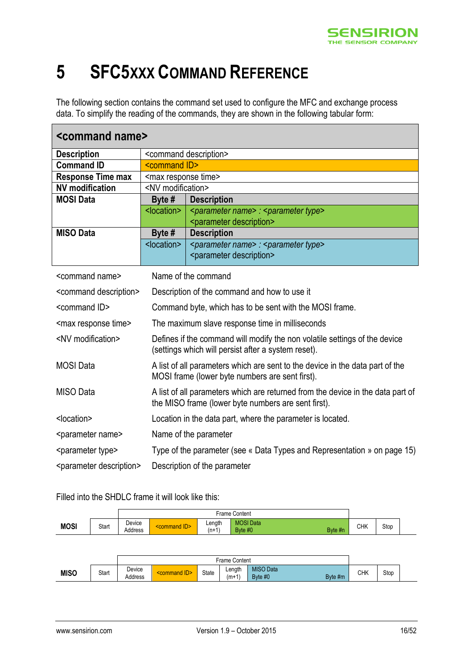

# <span id="page-15-0"></span>**5 SFC5XXX COMMAND REFERENCE**

The following section contains the command set used to configure the MFC and exchange process data. To simplify the reading of the commands, they are shown in the following tabular form:

| <command name=""/>                     |                                 |                                                                                                                                        |  |  |  |  |  |  |  |
|----------------------------------------|---------------------------------|----------------------------------------------------------------------------------------------------------------------------------------|--|--|--|--|--|--|--|
| <b>Description</b>                     |                                 | <command description=""/>                                                                                                              |  |  |  |  |  |  |  |
| <b>Command ID</b>                      |                                 | <command id=""/>                                                                                                                       |  |  |  |  |  |  |  |
| <b>Response Time max</b>               | <max response="" time=""></max> |                                                                                                                                        |  |  |  |  |  |  |  |
| <b>NV</b> modification                 | <nv modification=""></nv>       |                                                                                                                                        |  |  |  |  |  |  |  |
| <b>MOSI Data</b>                       | Byte #                          | <b>Description</b>                                                                                                                     |  |  |  |  |  |  |  |
|                                        | <location></location>           | <parameter name=""> : <parameter type=""></parameter></parameter>                                                                      |  |  |  |  |  |  |  |
|                                        |                                 | <parameter description=""></parameter>                                                                                                 |  |  |  |  |  |  |  |
| <b>MISO Data</b>                       | Byte $#$                        | <b>Description</b>                                                                                                                     |  |  |  |  |  |  |  |
|                                        | <location></location>           | <parameter name=""> : <parameter type=""></parameter></parameter>                                                                      |  |  |  |  |  |  |  |
|                                        |                                 | <parameter description=""></parameter>                                                                                                 |  |  |  |  |  |  |  |
| <command name=""/>                     |                                 | Name of the command                                                                                                                    |  |  |  |  |  |  |  |
| <command description=""/>              |                                 | Description of the command and how to use it                                                                                           |  |  |  |  |  |  |  |
| <command id=""/>                       |                                 | Command byte, which has to be sent with the MOSI frame.                                                                                |  |  |  |  |  |  |  |
| <max response="" time=""></max>        |                                 | The maximum slave response time in milliseconds                                                                                        |  |  |  |  |  |  |  |
| <nv modification=""></nv>              |                                 | Defines if the command will modify the non volatile settings of the device<br>(settings which will persist after a system reset).      |  |  |  |  |  |  |  |
| <b>MOSI</b> Data                       |                                 | A list of all parameters which are sent to the device in the data part of the<br>MOSI frame (lower byte numbers are sent first).       |  |  |  |  |  |  |  |
| <b>MISO</b> Data                       |                                 | A list of all parameters which are returned from the device in the data part of<br>the MISO frame (lower byte numbers are sent first). |  |  |  |  |  |  |  |
| <location></location>                  |                                 | Location in the data part, where the parameter is located.                                                                             |  |  |  |  |  |  |  |
| <parameter name=""></parameter>        |                                 | Name of the parameter                                                                                                                  |  |  |  |  |  |  |  |
| <parameter type=""></parameter>        |                                 | Type of the parameter (see « Data Types and Representation » on page 15)                                                               |  |  |  |  |  |  |  |
| <parameter description=""></parameter> |                                 | Description of the parameter                                                                                                           |  |  |  |  |  |  |  |

Filled into the SHDLC frame it will look like this:

|             |       |                   |                        |                   | <b>Frame Content</b>        |         |     |      |  |
|-------------|-------|-------------------|------------------------|-------------------|-----------------------------|---------|-----|------|--|
| <b>MOSI</b> | Start | Device<br>Address | AD ><br><b>Command</b> | Length<br>$(n+1)$ | <b>MOSI</b> Data<br>Byte #0 | Byte #n | СНК | Stop |  |
|             |       |                   |                        |                   |                             |         |     |      |  |

|             |       |                   | Content<br>Frame⊣ |       |                 |                             |         |     |      |  |  |  |
|-------------|-------|-------------------|-------------------|-------|-----------------|-----------------------------|---------|-----|------|--|--|--|
| <b>MISO</b> | Start | Device<br>Address |                   | State | Length<br>(m+1) | <b>MISO Data</b><br>Byte #0 | Byte #m | СНК | Stop |  |  |  |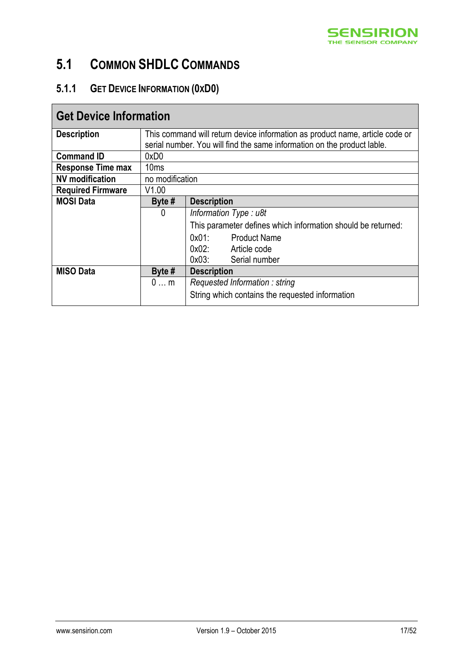

# <span id="page-16-0"></span>**5.1 COMMON SHDLC COMMANDS**

### <span id="page-16-1"></span>**5.1.1 GET DEVICE INFORMATION (0XD0)**

| <b>Get Device Information</b> |                  |                                                                              |  |  |  |  |  |  |  |  |
|-------------------------------|------------------|------------------------------------------------------------------------------|--|--|--|--|--|--|--|--|
| <b>Description</b>            |                  | This command will return device information as product name, article code or |  |  |  |  |  |  |  |  |
|                               |                  | serial number. You will find the same information on the product lable.      |  |  |  |  |  |  |  |  |
| <b>Command ID</b>             | 0xD0             |                                                                              |  |  |  |  |  |  |  |  |
| <b>Response Time max</b>      | 10 <sub>ms</sub> |                                                                              |  |  |  |  |  |  |  |  |
| <b>NV</b> modification        | no modification  |                                                                              |  |  |  |  |  |  |  |  |
| <b>Required Firmware</b>      | V1.00            |                                                                              |  |  |  |  |  |  |  |  |
| <b>MOSI Data</b>              | Byte $#$         | <b>Description</b>                                                           |  |  |  |  |  |  |  |  |
|                               | 0                | Information Type: u8t                                                        |  |  |  |  |  |  |  |  |
|                               |                  | This parameter defines which information should be returned:                 |  |  |  |  |  |  |  |  |
|                               |                  | 0x01:<br><b>Product Name</b>                                                 |  |  |  |  |  |  |  |  |
|                               |                  | 0x02: Article code                                                           |  |  |  |  |  |  |  |  |
|                               |                  | 0x03:<br>Serial number                                                       |  |  |  |  |  |  |  |  |
| <b>MISO Data</b>              | Byte $#$         | <b>Description</b>                                                           |  |  |  |  |  |  |  |  |
|                               | $0$ m            | Requested Information: string                                                |  |  |  |  |  |  |  |  |
|                               |                  | String which contains the requested information                              |  |  |  |  |  |  |  |  |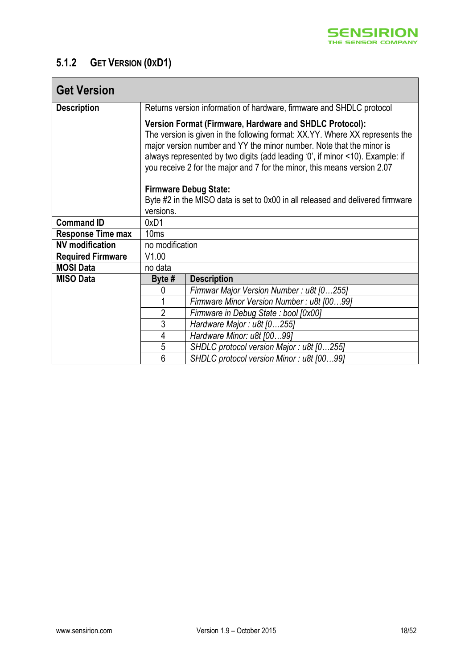

### <span id="page-17-0"></span>**5.1.2 GET VERSION (0XD1)**

| <b>Get Version</b>       |                                                                                                                                                                                                                                                                                                                                                                              |                                                                                |  |
|--------------------------|------------------------------------------------------------------------------------------------------------------------------------------------------------------------------------------------------------------------------------------------------------------------------------------------------------------------------------------------------------------------------|--------------------------------------------------------------------------------|--|
| <b>Description</b>       |                                                                                                                                                                                                                                                                                                                                                                              | Returns version information of hardware, firmware and SHDLC protocol           |  |
|                          | Version Format (Firmware, Hardware and SHDLC Protocol):<br>The version is given in the following format: XX.YY. Where XX represents the<br>major version number and YY the minor number. Note that the minor is<br>always represented by two digits (add leading '0', if minor <10). Example: if<br>you receive 2 for the major and 7 for the minor, this means version 2.07 |                                                                                |  |
|                          |                                                                                                                                                                                                                                                                                                                                                                              | <b>Firmware Debug State:</b>                                                   |  |
|                          |                                                                                                                                                                                                                                                                                                                                                                              | Byte #2 in the MISO data is set to 0x00 in all released and delivered firmware |  |
|                          | versions.                                                                                                                                                                                                                                                                                                                                                                    |                                                                                |  |
| <b>Command ID</b>        | 0xD1                                                                                                                                                                                                                                                                                                                                                                         |                                                                                |  |
| <b>Response Time max</b> | 10 <sub>ms</sub>                                                                                                                                                                                                                                                                                                                                                             |                                                                                |  |
| <b>NV</b> modification   | no modification                                                                                                                                                                                                                                                                                                                                                              |                                                                                |  |
| <b>Required Firmware</b> | V1.00                                                                                                                                                                                                                                                                                                                                                                        |                                                                                |  |
| <b>MOSI Data</b>         | no data                                                                                                                                                                                                                                                                                                                                                                      |                                                                                |  |
| <b>MISO Data</b>         | Byte #                                                                                                                                                                                                                                                                                                                                                                       | <b>Description</b>                                                             |  |
|                          | 0                                                                                                                                                                                                                                                                                                                                                                            | Firmwar Major Version Number: u8t [0255]                                       |  |
|                          | 1                                                                                                                                                                                                                                                                                                                                                                            | Firmware Minor Version Number: u8t [0099]                                      |  |
|                          | $\overline{2}$                                                                                                                                                                                                                                                                                                                                                               | Firmware in Debug State : bool [0x00]                                          |  |
|                          | 3                                                                                                                                                                                                                                                                                                                                                                            | Hardware Major: u8t [0255]                                                     |  |
|                          | 4                                                                                                                                                                                                                                                                                                                                                                            | Hardware Minor: u8t [0099]                                                     |  |
|                          | $\overline{5}$                                                                                                                                                                                                                                                                                                                                                               | SHDLC protocol version Major: u8t [0255]                                       |  |
|                          | $\overline{6}$                                                                                                                                                                                                                                                                                                                                                               | SHDLC protocol version Minor: u8t [0099]                                       |  |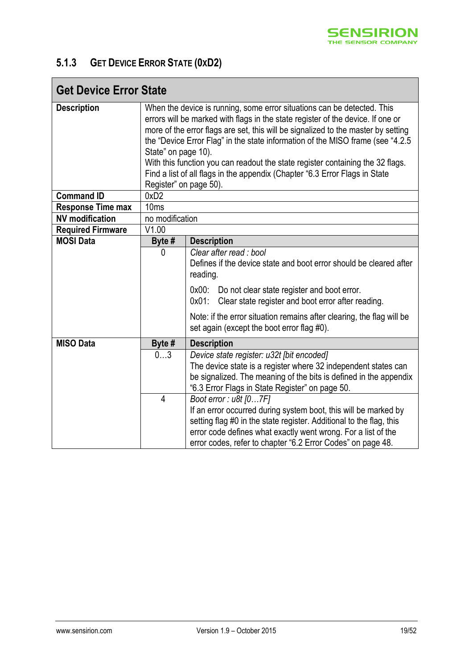

### <span id="page-18-0"></span>**5.1.3 GET DEVICE ERROR STATE (0XD2)**

| <b>Get Device Error State</b> |                                                                                                                                                                                                                                                                                                                                                                                                                                                                                                                                                      |                                                                                                                                                                                                                                                                                                                                                            |  |
|-------------------------------|------------------------------------------------------------------------------------------------------------------------------------------------------------------------------------------------------------------------------------------------------------------------------------------------------------------------------------------------------------------------------------------------------------------------------------------------------------------------------------------------------------------------------------------------------|------------------------------------------------------------------------------------------------------------------------------------------------------------------------------------------------------------------------------------------------------------------------------------------------------------------------------------------------------------|--|
| <b>Description</b>            | When the device is running, some error situations can be detected. This<br>errors will be marked with flags in the state register of the device. If one or<br>more of the error flags are set, this will be signalized to the master by setting<br>the "Device Error Flag" in the state information of the MISO frame (see "4.2.5"<br>State" on page 10).<br>With this function you can readout the state register containing the 32 flags.<br>Find a list of all flags in the appendix (Chapter "6.3 Error Flags in State<br>Register" on page 50). |                                                                                                                                                                                                                                                                                                                                                            |  |
| <b>Command ID</b>             | 0xD2                                                                                                                                                                                                                                                                                                                                                                                                                                                                                                                                                 |                                                                                                                                                                                                                                                                                                                                                            |  |
| <b>Response Time max</b>      | 10 <sub>ms</sub>                                                                                                                                                                                                                                                                                                                                                                                                                                                                                                                                     |                                                                                                                                                                                                                                                                                                                                                            |  |
| <b>NV</b> modification        | no modification                                                                                                                                                                                                                                                                                                                                                                                                                                                                                                                                      |                                                                                                                                                                                                                                                                                                                                                            |  |
| <b>Required Firmware</b>      | V1.00                                                                                                                                                                                                                                                                                                                                                                                                                                                                                                                                                |                                                                                                                                                                                                                                                                                                                                                            |  |
| <b>MOSI Data</b>              | Byte #                                                                                                                                                                                                                                                                                                                                                                                                                                                                                                                                               | <b>Description</b>                                                                                                                                                                                                                                                                                                                                         |  |
|                               | 0                                                                                                                                                                                                                                                                                                                                                                                                                                                                                                                                                    | Clear after read : bool<br>Defines if the device state and boot error should be cleared after<br>reading.<br>0x00:<br>Do not clear state register and boot error.<br>Clear state register and boot error after reading.<br>$0x01$ :<br>Note: if the error situation remains after clearing, the flag will be<br>set again (except the boot error flag #0). |  |
| <b>MISO Data</b>              | Byte #                                                                                                                                                                                                                                                                                                                                                                                                                                                                                                                                               | <b>Description</b>                                                                                                                                                                                                                                                                                                                                         |  |
|                               | 03                                                                                                                                                                                                                                                                                                                                                                                                                                                                                                                                                   | Device state register: u32t [bit encoded]<br>The device state is a register where 32 independent states can<br>be signalized. The meaning of the bits is defined in the appendix<br>"6.3 Error Flags in State Register" on page 50.                                                                                                                        |  |
|                               | $\overline{4}$                                                                                                                                                                                                                                                                                                                                                                                                                                                                                                                                       | Boot error: u8t [07F]<br>If an error occurred during system boot, this will be marked by<br>setting flag #0 in the state register. Additional to the flag, this<br>error code defines what exactly went wrong. For a list of the<br>error codes, refer to chapter "6.2 Error Codes" on page 48.                                                            |  |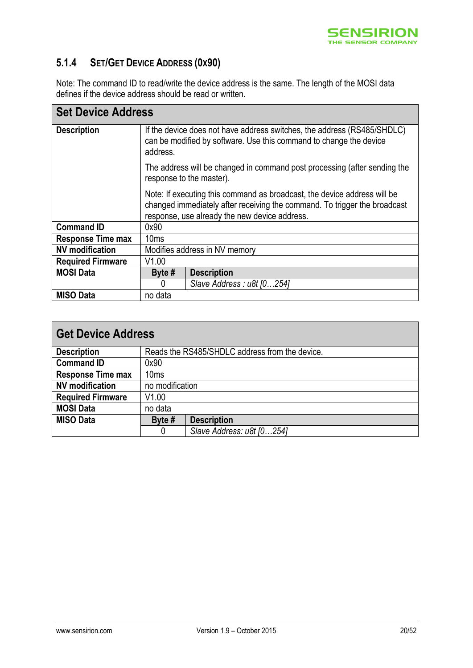

### <span id="page-19-0"></span>**5.1.4 SET/GET DEVICE ADDRESS (0X90)**

Note: The command ID to read/write the device address is the same. The length of the MOSI data defines if the device address should be read or written.

| <b>Set Device Address</b> |                                                                                                                                                                                                        |  |  |
|---------------------------|--------------------------------------------------------------------------------------------------------------------------------------------------------------------------------------------------------|--|--|
| <b>Description</b>        | If the device does not have address switches, the address (RS485/SHDLC)<br>can be modified by software. Use this command to change the device<br>address.                                              |  |  |
|                           | The address will be changed in command post processing (after sending the<br>response to the master).                                                                                                  |  |  |
|                           | Note: If executing this command as broadcast, the device address will be<br>changed immediately after receiving the command. To trigger the broadcast<br>response, use already the new device address. |  |  |
| <b>Command ID</b>         | 0x90                                                                                                                                                                                                   |  |  |
| <b>Response Time max</b>  | 10ms                                                                                                                                                                                                   |  |  |
| <b>NV</b> modification    | Modifies address in NV memory                                                                                                                                                                          |  |  |
| <b>Required Firmware</b>  | V1.00                                                                                                                                                                                                  |  |  |
| <b>MOSI Data</b>          | Byte $#$<br><b>Description</b>                                                                                                                                                                         |  |  |
|                           | Slave Address : u8t [0254]<br>0                                                                                                                                                                        |  |  |
| <b>MISO Data</b>          | no data                                                                                                                                                                                                |  |  |

| <b>Get Device Address</b> |                  |                                                |  |  |
|---------------------------|------------------|------------------------------------------------|--|--|
| <b>Description</b>        |                  | Reads the RS485/SHDLC address from the device. |  |  |
| <b>Command ID</b>         | 0x90             |                                                |  |  |
| <b>Response Time max</b>  | 10 <sub>ms</sub> |                                                |  |  |
| <b>NV</b> modification    | no modification  |                                                |  |  |
| <b>Required Firmware</b>  | V1.00            |                                                |  |  |
| <b>MOSI Data</b>          | no data          |                                                |  |  |
| <b>MISO Data</b>          | Byte #           | <b>Description</b>                             |  |  |
|                           | 0                | Slave Address: u8t [0254]                      |  |  |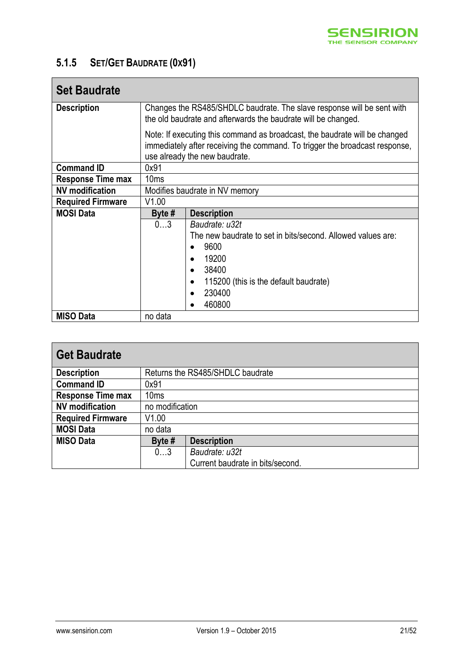

### <span id="page-20-0"></span>**5.1.5 SET/GET BAUDRATE (0X91)**

| <b>Set Baudrate</b>      |                                                                                                                                                                                            |                                                             |  |
|--------------------------|--------------------------------------------------------------------------------------------------------------------------------------------------------------------------------------------|-------------------------------------------------------------|--|
| <b>Description</b>       | Changes the RS485/SHDLC baudrate. The slave response will be sent with<br>the old baudrate and afterwards the baudrate will be changed.                                                    |                                                             |  |
|                          | Note: If executing this command as broadcast, the baudrate will be changed<br>immediately after receiving the command. To trigger the broadcast response,<br>use already the new baudrate. |                                                             |  |
| <b>Command ID</b>        | 0x91                                                                                                                                                                                       |                                                             |  |
| <b>Response Time max</b> | 10ms                                                                                                                                                                                       |                                                             |  |
| <b>NV</b> modification   | Modifies baudrate in NV memory                                                                                                                                                             |                                                             |  |
| <b>Required Firmware</b> | V1.00                                                                                                                                                                                      |                                                             |  |
| <b>MOSI Data</b>         | Byte $#$                                                                                                                                                                                   | <b>Description</b>                                          |  |
|                          | 03                                                                                                                                                                                         | Baudrate: u32t                                              |  |
|                          |                                                                                                                                                                                            | The new baudrate to set in bits/second. Allowed values are: |  |
|                          |                                                                                                                                                                                            | 9600                                                        |  |
|                          |                                                                                                                                                                                            | 19200<br>$\bullet$                                          |  |
|                          |                                                                                                                                                                                            | 38400<br>$\bullet$                                          |  |
|                          |                                                                                                                                                                                            | 115200 (this is the default baudrate)<br>$\bullet$          |  |
|                          |                                                                                                                                                                                            | 230400<br>$\bullet$                                         |  |
|                          |                                                                                                                                                                                            | 460800                                                      |  |
| <b>MISO Data</b>         | no data                                                                                                                                                                                    |                                                             |  |

| <b>Get Baudrate</b>      |                 |                                  |  |
|--------------------------|-----------------|----------------------------------|--|
| <b>Description</b>       |                 | Returns the RS485/SHDLC baudrate |  |
| <b>Command ID</b>        | 0x91            |                                  |  |
| <b>Response Time max</b> | 10ms            |                                  |  |
| <b>NV</b> modification   | no modification |                                  |  |
| <b>Required Firmware</b> | V1.00           |                                  |  |
| <b>MOSI Data</b>         | no data         |                                  |  |
| <b>MISO Data</b>         | Byte #          | <b>Description</b>               |  |
|                          | 03              | Baudrate: u32t                   |  |
|                          |                 | Current baudrate in bits/second. |  |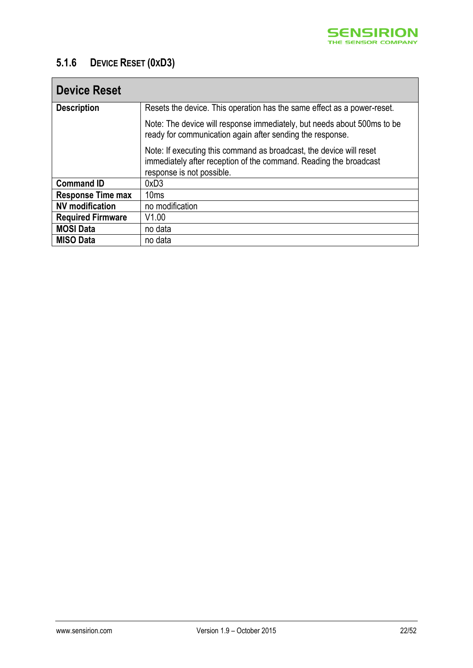

### <span id="page-21-0"></span>**5.1.6 DEVICE RESET (0XD3)**

| <b>Device Reset</b>      |                                                                                                                                                                       |
|--------------------------|-----------------------------------------------------------------------------------------------------------------------------------------------------------------------|
| <b>Description</b>       | Resets the device. This operation has the same effect as a power-reset.                                                                                               |
|                          | Note: The device will response immediately, but needs about 500ms to be<br>ready for communication again after sending the response.                                  |
|                          | Note: If executing this command as broadcast, the device will reset<br>immediately after reception of the command. Reading the broadcast<br>response is not possible. |
| <b>Command ID</b>        | 0xD3                                                                                                                                                                  |
| <b>Response Time max</b> | 10 <sub>ms</sub>                                                                                                                                                      |
| <b>NV</b> modification   | no modification                                                                                                                                                       |
| <b>Required Firmware</b> | V1.00                                                                                                                                                                 |
| <b>MOSI Data</b>         | no data                                                                                                                                                               |
| <b>MISO Data</b>         | no data                                                                                                                                                               |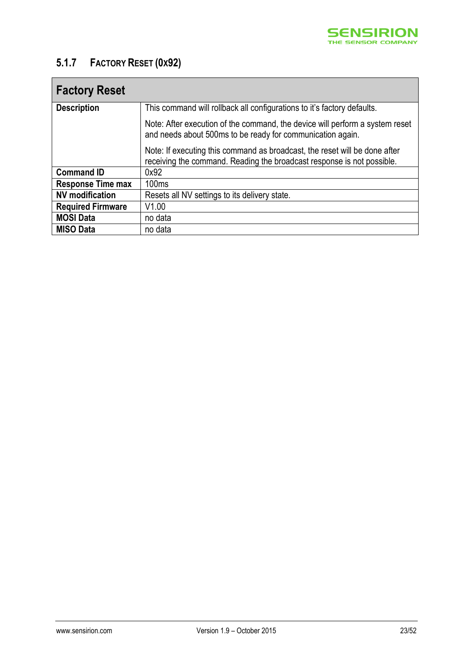

### <span id="page-22-0"></span>**5.1.7 FACTORY RESET (0X92)**

| <b>Factory Reset</b>     |                                                                                                                                                      |
|--------------------------|------------------------------------------------------------------------------------------------------------------------------------------------------|
| <b>Description</b>       | This command will rollback all configurations to it's factory defaults.                                                                              |
|                          | Note: After execution of the command, the device will perform a system reset<br>and needs about 500ms to be ready for communication again.           |
|                          | Note: If executing this command as broadcast, the reset will be done after<br>receiving the command. Reading the broadcast response is not possible. |
| <b>Command ID</b>        | 0x92                                                                                                                                                 |
| <b>Response Time max</b> | 100ms                                                                                                                                                |
| <b>NV</b> modification   | Resets all NV settings to its delivery state.                                                                                                        |
| <b>Required Firmware</b> | V1.00                                                                                                                                                |
| <b>MOSI Data</b>         | no data                                                                                                                                              |
| <b>MISO Data</b>         | no data                                                                                                                                              |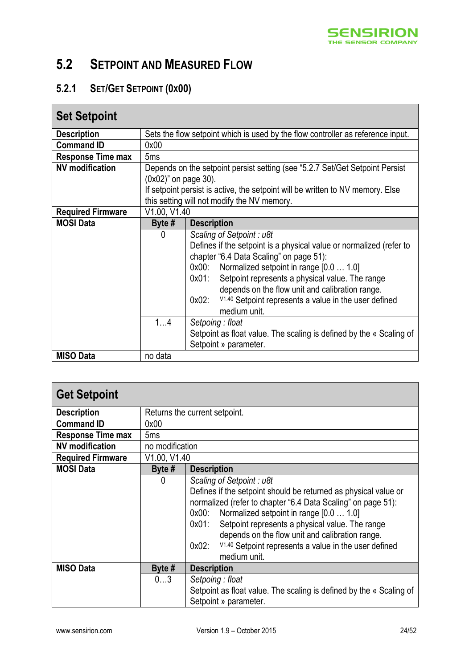

## <span id="page-23-0"></span>**5.2 SETPOINT AND MEASURED FLOW**

### <span id="page-23-1"></span>**5.2.1 SET/GET SETPOINT (0X00)**

| <b>Set Setpoint</b>      |                      |                                                                                 |
|--------------------------|----------------------|---------------------------------------------------------------------------------|
| <b>Description</b>       |                      | Sets the flow setpoint which is used by the flow controller as reference input. |
| <b>Command ID</b>        | 0x00                 |                                                                                 |
| <b>Response Time max</b> | 5 <sub>ms</sub>      |                                                                                 |
| <b>NV</b> modification   |                      | Depends on the setpoint persist setting (see "5.2.7 Set/Get Setpoint Persist    |
|                          | (0x02)" on page 30). |                                                                                 |
|                          |                      | If setpoint persist is active, the setpoint will be written to NV memory. Else  |
|                          |                      | this setting will not modify the NV memory.                                     |
| <b>Required Firmware</b> | V1.00, V1.40         |                                                                                 |
| <b>MOSI Data</b>         | Byte $#$             | <b>Description</b>                                                              |
|                          | 0                    | Scaling of Setpoint: u8t                                                        |
|                          |                      | Defines if the setpoint is a physical value or normalized (refer to             |
|                          |                      | chapter "6.4 Data Scaling" on page 51):                                         |
|                          |                      | Normalized setpoint in range [0.0  1.0]<br>0x00:                                |
|                          |                      | Setpoint represents a physical value. The range<br>0x01:                        |
|                          |                      | depends on the flow unit and calibration range.                                 |
|                          |                      | V <sub>1,40</sub> Setpoint represents a value in the user defined<br>$0x02$ :   |
|                          |                      | medium unit.                                                                    |
|                          | 14                   | Setpoing: float                                                                 |
|                          |                      | Setpoint as float value. The scaling is defined by the « Scaling of             |
|                          |                      | Setpoint » parameter.                                                           |
| <b>MISO Data</b>         | no data              |                                                                                 |

| <b>Get Setpoint</b>      |                 |                                                                                                                                                                                                                                                                                                                                                                                                                                       |
|--------------------------|-----------------|---------------------------------------------------------------------------------------------------------------------------------------------------------------------------------------------------------------------------------------------------------------------------------------------------------------------------------------------------------------------------------------------------------------------------------------|
| <b>Description</b>       |                 | Returns the current setpoint.                                                                                                                                                                                                                                                                                                                                                                                                         |
| <b>Command ID</b>        | 0x00            |                                                                                                                                                                                                                                                                                                                                                                                                                                       |
| <b>Response Time max</b> | 5 <sub>ms</sub> |                                                                                                                                                                                                                                                                                                                                                                                                                                       |
| <b>NV</b> modification   | no modification |                                                                                                                                                                                                                                                                                                                                                                                                                                       |
| <b>Required Firmware</b> | V1.00, V1.40    |                                                                                                                                                                                                                                                                                                                                                                                                                                       |
| <b>MOSI Data</b>         | Byte #          | <b>Description</b>                                                                                                                                                                                                                                                                                                                                                                                                                    |
|                          | 0               | Scaling of Setpoint: u8t<br>Defines if the setpoint should be returned as physical value or<br>normalized (refer to chapter "6.4 Data Scaling" on page 51):<br>Normalized setpoint in range [0.0  1.0]<br>$0x00$ :<br>Setpoint represents a physical value. The range<br>$0x01$ :<br>depends on the flow unit and calibration range.<br>V <sub>1.40</sub> Setpoint represents a value in the user defined<br>$0x02$ :<br>medium unit. |
| <b>MISO Data</b>         | Byte $#$        | <b>Description</b>                                                                                                                                                                                                                                                                                                                                                                                                                    |
|                          | 03              | Setpoing: float<br>Setpoint as float value. The scaling is defined by the « Scaling of<br>Setpoint » parameter.                                                                                                                                                                                                                                                                                                                       |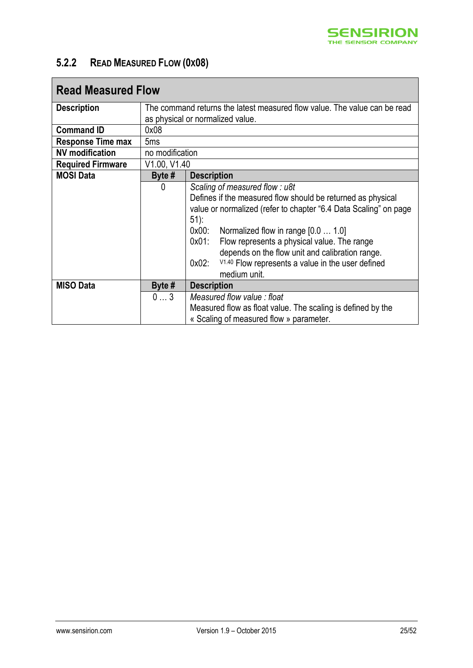

### <span id="page-24-0"></span>**5.2.2 READ MEASURED FLOW (0X08)**

| <b>Read Measured Flow</b> |                 |                                                                                                                                                                                                                                                                                                                                                                                                                                       |
|---------------------------|-----------------|---------------------------------------------------------------------------------------------------------------------------------------------------------------------------------------------------------------------------------------------------------------------------------------------------------------------------------------------------------------------------------------------------------------------------------------|
| <b>Description</b>        |                 | The command returns the latest measured flow value. The value can be read                                                                                                                                                                                                                                                                                                                                                             |
|                           |                 | as physical or normalized value.                                                                                                                                                                                                                                                                                                                                                                                                      |
| <b>Command ID</b>         | 0x08            |                                                                                                                                                                                                                                                                                                                                                                                                                                       |
| <b>Response Time max</b>  | 5 <sub>ms</sub> |                                                                                                                                                                                                                                                                                                                                                                                                                                       |
| <b>NV</b> modification    | no modification |                                                                                                                                                                                                                                                                                                                                                                                                                                       |
| <b>Required Firmware</b>  | V1.00, V1.40    |                                                                                                                                                                                                                                                                                                                                                                                                                                       |
| <b>MOSI Data</b>          | Byte $#$        | <b>Description</b>                                                                                                                                                                                                                                                                                                                                                                                                                    |
|                           | 0               | Scaling of measured flow: u8t<br>Defines if the measured flow should be returned as physical<br>value or normalized (refer to chapter "6.4 Data Scaling" on page<br>$51$ :<br>0x00:<br>Normalized flow in range [0.0  1.0]<br>$0x01$ :<br>Flow represents a physical value. The range<br>depends on the flow unit and calibration range.<br>V <sub>1.40</sub> Flow represents a value in the user defined<br>$0x02$ :<br>medium unit. |
| <b>MISO Data</b>          | Byte $#$        | <b>Description</b>                                                                                                                                                                                                                                                                                                                                                                                                                    |
|                           | 03              | Measured flow value: float                                                                                                                                                                                                                                                                                                                                                                                                            |
|                           |                 | Measured flow as float value. The scaling is defined by the                                                                                                                                                                                                                                                                                                                                                                           |
|                           |                 | « Scaling of measured flow » parameter.                                                                                                                                                                                                                                                                                                                                                                                               |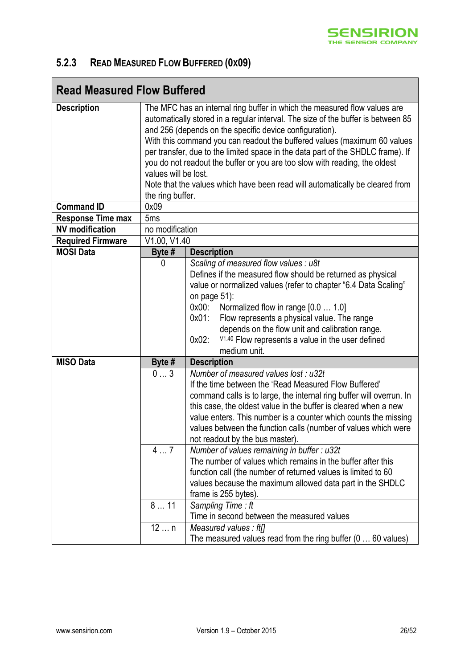

### <span id="page-25-0"></span>**5.2.3 READ MEASURED FLOW BUFFERED (0X09)**

| <b>Read Measured Flow Buffered</b>           |                                                                                                                                                                                                                                                                                                                                                                                                                                                                                                                                                                                                   |                                                                                                                                                                                                                                                                                                                                                                                                                                          |
|----------------------------------------------|---------------------------------------------------------------------------------------------------------------------------------------------------------------------------------------------------------------------------------------------------------------------------------------------------------------------------------------------------------------------------------------------------------------------------------------------------------------------------------------------------------------------------------------------------------------------------------------------------|------------------------------------------------------------------------------------------------------------------------------------------------------------------------------------------------------------------------------------------------------------------------------------------------------------------------------------------------------------------------------------------------------------------------------------------|
| <b>Description</b>                           | The MFC has an internal ring buffer in which the measured flow values are<br>automatically stored in a regular interval. The size of the buffer is between 85<br>and 256 (depends on the specific device configuration).<br>With this command you can readout the buffered values (maximum 60 values<br>per transfer, due to the limited space in the data part of the SHDLC frame). If<br>you do not readout the buffer or you are too slow with reading, the oldest<br>values will be lost.<br>Note that the values which have been read will automatically be cleared from<br>the ring buffer. |                                                                                                                                                                                                                                                                                                                                                                                                                                          |
| <b>Command ID</b>                            | 0x09                                                                                                                                                                                                                                                                                                                                                                                                                                                                                                                                                                                              |                                                                                                                                                                                                                                                                                                                                                                                                                                          |
| <b>Response Time max</b>                     | 5 <sub>ms</sub>                                                                                                                                                                                                                                                                                                                                                                                                                                                                                                                                                                                   |                                                                                                                                                                                                                                                                                                                                                                                                                                          |
| <b>NV</b> modification                       | no modification                                                                                                                                                                                                                                                                                                                                                                                                                                                                                                                                                                                   |                                                                                                                                                                                                                                                                                                                                                                                                                                          |
| <b>Required Firmware</b><br><b>MOSI Data</b> | V1.00, V1.40<br>Byte #                                                                                                                                                                                                                                                                                                                                                                                                                                                                                                                                                                            | <b>Description</b>                                                                                                                                                                                                                                                                                                                                                                                                                       |
|                                              | 0                                                                                                                                                                                                                                                                                                                                                                                                                                                                                                                                                                                                 | Scaling of measured flow values : u8t<br>Defines if the measured flow should be returned as physical<br>value or normalized values (refer to chapter "6.4 Data Scaling"<br>on page $51$ :<br>0x00:<br>Normalized flow in range [0.0  1.0]<br>$0x01$ :<br>Flow represents a physical value. The range<br>depends on the flow unit and calibration range.<br>V1.40 Flow represents a value in the user defined<br>$0x02$ :<br>medium unit. |
| <b>MISO Data</b>                             | Byte #                                                                                                                                                                                                                                                                                                                                                                                                                                                                                                                                                                                            | <b>Description</b>                                                                                                                                                                                                                                                                                                                                                                                                                       |
|                                              | 03                                                                                                                                                                                                                                                                                                                                                                                                                                                                                                                                                                                                | Number of measured values lost : u32t<br>If the time between the 'Read Measured Flow Buffered'<br>command calls is to large, the internal ring buffer will overrun. In<br>this case, the oldest value in the buffer is cleared when a new<br>value enters. This number is a counter which counts the missing<br>values between the function calls (number of values which were<br>not readout by the bus master).                        |
|                                              | 47                                                                                                                                                                                                                                                                                                                                                                                                                                                                                                                                                                                                | Number of values remaining in buffer : u32t<br>The number of values which remains in the buffer after this<br>function call (the number of returned values is limited to 60<br>values because the maximum allowed data part in the SHDLC<br>frame is 255 bytes).                                                                                                                                                                         |
|                                              | 811                                                                                                                                                                                                                                                                                                                                                                                                                                                                                                                                                                                               | Sampling Time: ft<br>Time in second between the measured values                                                                                                                                                                                                                                                                                                                                                                          |
|                                              | 12n                                                                                                                                                                                                                                                                                                                                                                                                                                                                                                                                                                                               | Measured values: $ft[]$<br>The measured values read from the ring buffer $(0 \ldots 60$ values)                                                                                                                                                                                                                                                                                                                                          |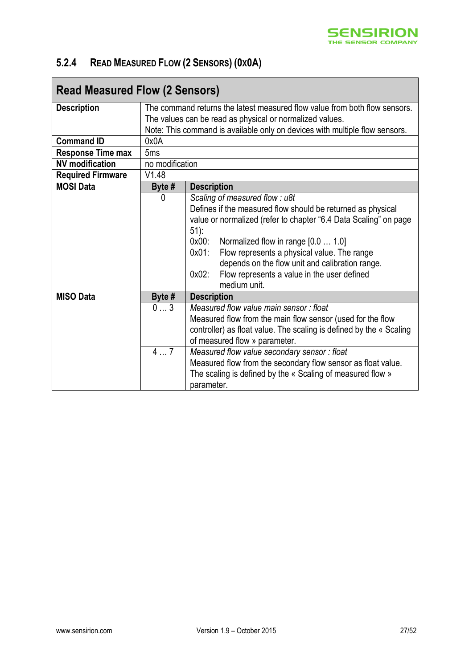

### <span id="page-26-0"></span>**5.2.4 READ MEASURED FLOW (2 SENSORS) (0X0A)**

| <b>Read Measured Flow (2 Sensors)</b> |                                                          |                                                                             |  |  |
|---------------------------------------|----------------------------------------------------------|-----------------------------------------------------------------------------|--|--|
| <b>Description</b>                    |                                                          | The command returns the latest measured flow value from both flow sensors.  |  |  |
|                                       | The values can be read as physical or normalized values. |                                                                             |  |  |
|                                       |                                                          | Note: This command is available only on devices with multiple flow sensors. |  |  |
| <b>Command ID</b>                     | 0x0A                                                     |                                                                             |  |  |
| <b>Response Time max</b>              | 5 <sub>ms</sub>                                          |                                                                             |  |  |
| <b>NV</b> modification                | no modification                                          |                                                                             |  |  |
| <b>Required Firmware</b>              | V1.48                                                    |                                                                             |  |  |
| <b>MOSI Data</b>                      | Byte $#$                                                 | <b>Description</b>                                                          |  |  |
|                                       | 0                                                        | Scaling of measured flow: u8t                                               |  |  |
|                                       |                                                          | Defines if the measured flow should be returned as physical                 |  |  |
|                                       |                                                          | value or normalized (refer to chapter "6.4 Data Scaling" on page            |  |  |
|                                       |                                                          | $51$ :                                                                      |  |  |
|                                       |                                                          | $0x00$ :<br>Normalized flow in range [0.0  1.0]                             |  |  |
|                                       |                                                          | Flow represents a physical value. The range<br>$0x01$ :                     |  |  |
|                                       |                                                          | depends on the flow unit and calibration range.                             |  |  |
|                                       |                                                          | Flow represents a value in the user defined<br>$0x02$ :                     |  |  |
|                                       |                                                          | medium unit.                                                                |  |  |
| <b>MISO Data</b>                      | Byte #                                                   | <b>Description</b>                                                          |  |  |
|                                       | 03                                                       | Measured flow value main sensor: float                                      |  |  |
|                                       |                                                          | Measured flow from the main flow sensor (used for the flow                  |  |  |
|                                       |                                                          | controller) as float value. The scaling is defined by the « Scaling         |  |  |
|                                       |                                                          | of measured flow » parameter.                                               |  |  |
|                                       | 47                                                       | Measured flow value secondary sensor: float                                 |  |  |
|                                       |                                                          | Measured flow from the secondary flow sensor as float value.                |  |  |
|                                       |                                                          | The scaling is defined by the « Scaling of measured flow »                  |  |  |
|                                       |                                                          | parameter.                                                                  |  |  |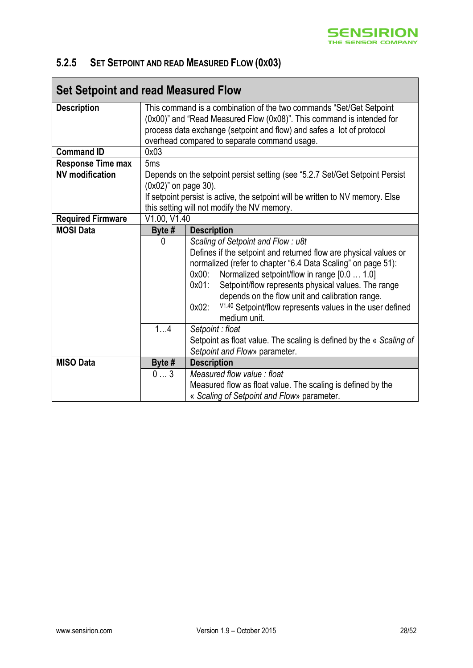

### <span id="page-27-0"></span>**5.2.5 SET SETPOINT AND READ MEASURED FLOW (0X03)**

| <b>Set Setpoint and read Measured Flow</b> |                                                                                                                                                                                                                                                                       |                                                                                                                                                                                                                                                                                                                                                                                                                                                  |  |
|--------------------------------------------|-----------------------------------------------------------------------------------------------------------------------------------------------------------------------------------------------------------------------------------------------------------------------|--------------------------------------------------------------------------------------------------------------------------------------------------------------------------------------------------------------------------------------------------------------------------------------------------------------------------------------------------------------------------------------------------------------------------------------------------|--|
| <b>Description</b>                         | This command is a combination of the two commands "Set/Get Setpoint<br>(0x00)" and "Read Measured Flow (0x08)". This command is intended for<br>process data exchange (setpoint and flow) and safes a lot of protocol<br>overhead compared to separate command usage. |                                                                                                                                                                                                                                                                                                                                                                                                                                                  |  |
| <b>Command ID</b>                          | 0x03                                                                                                                                                                                                                                                                  |                                                                                                                                                                                                                                                                                                                                                                                                                                                  |  |
| <b>Response Time max</b>                   | 5 <sub>ms</sub>                                                                                                                                                                                                                                                       |                                                                                                                                                                                                                                                                                                                                                                                                                                                  |  |
| <b>NV</b> modification                     | Depends on the setpoint persist setting (see "5.2.7 Set/Get Setpoint Persist<br>(0x02)" on page 30).<br>If setpoint persist is active, the setpoint will be written to NV memory. Else<br>this setting will not modify the NV memory.                                 |                                                                                                                                                                                                                                                                                                                                                                                                                                                  |  |
| <b>Required Firmware</b>                   | V1.00, V1.40                                                                                                                                                                                                                                                          |                                                                                                                                                                                                                                                                                                                                                                                                                                                  |  |
| <b>MOSI Data</b>                           | Byte #                                                                                                                                                                                                                                                                | <b>Description</b>                                                                                                                                                                                                                                                                                                                                                                                                                               |  |
|                                            | 0<br>14                                                                                                                                                                                                                                                               | Scaling of Setpoint and Flow: u8t<br>Defines if the setpoint and returned flow are physical values or<br>normalized (refer to chapter "6.4 Data Scaling" on page 51):<br>$0x00$ :<br>Normalized setpoint/flow in range [0.0  1.0]<br>$0x01$ :<br>Setpoint/flow represents physical values. The range<br>depends on the flow unit and calibration range.<br>V1.40 Setpoint/flow represents values in the user defined<br>$0x02$ :<br>medium unit. |  |
|                                            |                                                                                                                                                                                                                                                                       | Setpoint: float<br>Setpoint as float value. The scaling is defined by the « Scaling of<br>Setpoint and Flow» parameter.                                                                                                                                                                                                                                                                                                                          |  |
| <b>MISO Data</b>                           | Byte #                                                                                                                                                                                                                                                                | <b>Description</b>                                                                                                                                                                                                                                                                                                                                                                                                                               |  |
|                                            | 03                                                                                                                                                                                                                                                                    | Measured flow value: float<br>Measured flow as float value. The scaling is defined by the<br>« Scaling of Setpoint and Flow» parameter.                                                                                                                                                                                                                                                                                                          |  |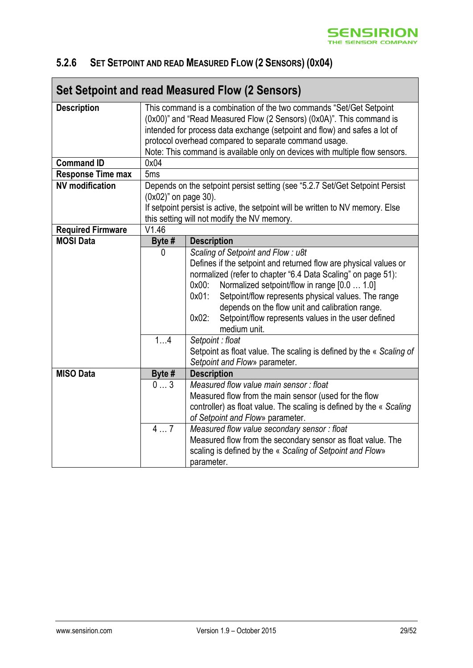### <span id="page-28-0"></span>**5.2.6 SET SETPOINT AND READ MEASURED FLOW (2 SENSORS) (0X04)**

|                          |                                                                                                                                                                                                                                                                                                                                                                  | Set Setpoint and read Measured Flow (2 Sensors)                                                                                                                                                                                                                                                                                                                                                                                                               |  |  |
|--------------------------|------------------------------------------------------------------------------------------------------------------------------------------------------------------------------------------------------------------------------------------------------------------------------------------------------------------------------------------------------------------|---------------------------------------------------------------------------------------------------------------------------------------------------------------------------------------------------------------------------------------------------------------------------------------------------------------------------------------------------------------------------------------------------------------------------------------------------------------|--|--|
| <b>Description</b>       | This command is a combination of the two commands "Set/Get Setpoint<br>(0x00)" and "Read Measured Flow (2 Sensors) (0x0A)". This command is<br>intended for process data exchange (setpoint and flow) and safes a lot of<br>protocol overhead compared to separate command usage.<br>Note: This command is available only on devices with multiple flow sensors. |                                                                                                                                                                                                                                                                                                                                                                                                                                                               |  |  |
| <b>Command ID</b>        | 0x04                                                                                                                                                                                                                                                                                                                                                             |                                                                                                                                                                                                                                                                                                                                                                                                                                                               |  |  |
| <b>Response Time max</b> | 5 <sub>ms</sub>                                                                                                                                                                                                                                                                                                                                                  |                                                                                                                                                                                                                                                                                                                                                                                                                                                               |  |  |
| <b>NV</b> modification   | Depends on the setpoint persist setting (see "5.2.7 Set/Get Setpoint Persist<br>(0x02)" on page 30).<br>If setpoint persist is active, the setpoint will be written to NV memory. Else<br>this setting will not modify the NV memory.                                                                                                                            |                                                                                                                                                                                                                                                                                                                                                                                                                                                               |  |  |
| <b>Required Firmware</b> | V1.46                                                                                                                                                                                                                                                                                                                                                            |                                                                                                                                                                                                                                                                                                                                                                                                                                                               |  |  |
| <b>MOSI Data</b>         | Byte #                                                                                                                                                                                                                                                                                                                                                           | <b>Description</b>                                                                                                                                                                                                                                                                                                                                                                                                                                            |  |  |
|                          | $\mathbf{0}$<br>$\overline{1}$ 4                                                                                                                                                                                                                                                                                                                                 | Scaling of Setpoint and Flow: u8t<br>Defines if the setpoint and returned flow are physical values or<br>normalized (refer to chapter "6.4 Data Scaling" on page 51):<br>Normalized setpoint/flow in range [0.0  1.0]<br>$0x00$ :<br>Setpoint/flow represents physical values. The range<br>$0x01$ :<br>depends on the flow unit and calibration range.<br>$0x02$ :<br>Setpoint/flow represents values in the user defined<br>medium unit.<br>Setpoint: float |  |  |
|                          |                                                                                                                                                                                                                                                                                                                                                                  | Setpoint as float value. The scaling is defined by the « Scaling of<br>Setpoint and Flow» parameter.                                                                                                                                                                                                                                                                                                                                                          |  |  |
| <b>MISO Data</b>         | Byte #                                                                                                                                                                                                                                                                                                                                                           | <b>Description</b>                                                                                                                                                                                                                                                                                                                                                                                                                                            |  |  |
|                          | 03<br>47                                                                                                                                                                                                                                                                                                                                                         | Measured flow value main sensor: float<br>Measured flow from the main sensor (used for the flow<br>controller) as float value. The scaling is defined by the « Scaling<br>of Setpoint and Flow» parameter.<br>Measured flow value secondary sensor: float<br>Measured flow from the secondary sensor as float value. The<br>scaling is defined by the « Scaling of Setpoint and Flow»<br>parameter.                                                           |  |  |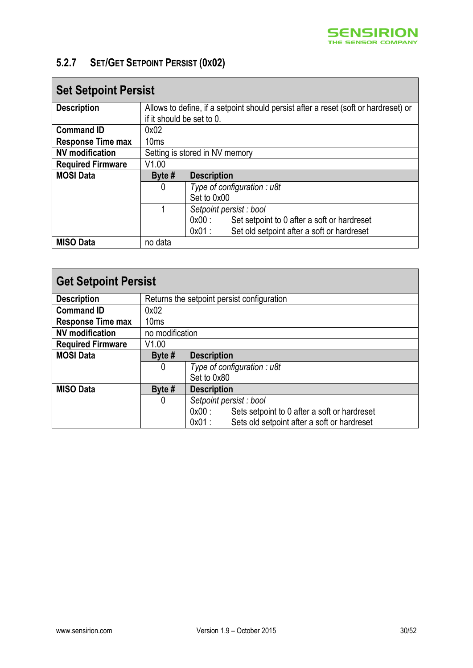

### <span id="page-29-0"></span>**5.2.7 SET/GET SETPOINT PERSIST (0X02)**

| <b>Set Setpoint Persist</b> |                           |                                                                                     |  |  |
|-----------------------------|---------------------------|-------------------------------------------------------------------------------------|--|--|
| <b>Description</b>          |                           | Allows to define, if a setpoint should persist after a reset (soft or hardreset) or |  |  |
|                             | if it should be set to 0. |                                                                                     |  |  |
| <b>Command ID</b>           | 0x02                      |                                                                                     |  |  |
| <b>Response Time max</b>    | 10ms                      |                                                                                     |  |  |
| <b>NV</b> modification      |                           | Setting is stored in NV memory                                                      |  |  |
| <b>Required Firmware</b>    | V1.00                     |                                                                                     |  |  |
| <b>MOSI Data</b>            | Byte $#$                  | <b>Description</b>                                                                  |  |  |
|                             | 0                         | Type of configuration : $u$ 8t                                                      |  |  |
|                             |                           | Set to 0x00                                                                         |  |  |
|                             |                           | Setpoint persist : bool                                                             |  |  |
|                             |                           | 0x00:<br>Set setpoint to 0 after a soft or hardreset                                |  |  |
|                             |                           | $0x01$ :<br>Set old setpoint after a soft or hardreset                              |  |  |
| <b>MISO Data</b>            | no data                   |                                                                                     |  |  |

| <b>Get Setpoint Persist</b> |                                            |                                                         |  |
|-----------------------------|--------------------------------------------|---------------------------------------------------------|--|
| <b>Description</b>          | Returns the setpoint persist configuration |                                                         |  |
| <b>Command ID</b>           | 0x02                                       |                                                         |  |
| <b>Response Time max</b>    | 10 <sub>ms</sub>                           |                                                         |  |
| <b>NV</b> modification      | no modification                            |                                                         |  |
| <b>Required Firmware</b>    | V1.00                                      |                                                         |  |
| <b>MOSI Data</b>            | Byte $#$                                   | <b>Description</b>                                      |  |
|                             | 0                                          | Type of configuration: $u$ 8t                           |  |
|                             |                                            | Set to 0x80                                             |  |
| <b>MISO Data</b>            | Byte $#$                                   | <b>Description</b>                                      |  |
|                             | 0                                          | Setpoint persist : bool                                 |  |
|                             |                                            | Sets setpoint to 0 after a soft or hardreset<br>0x00:   |  |
|                             |                                            | Sets old setpoint after a soft or hardreset<br>$0x01$ : |  |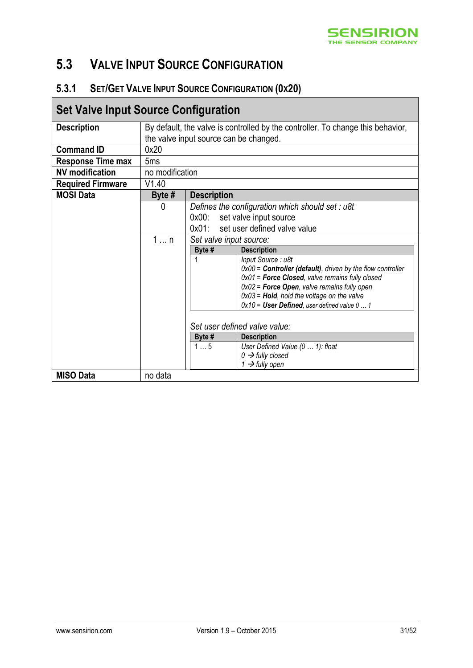

### <span id="page-30-1"></span>**5.3 VALVE INPUT SOURCE CONFIGURATION**

### <span id="page-30-0"></span>**5.3.1 SET/GET VALVE INPUT SOURCE CONFIGURATION (0X20)**

### **Set Valve Input Source Configuration**

| <b>Description</b>       | By default, the valve is controlled by the controller. To change this behavior, |                                          |                                                                                                        |  |
|--------------------------|---------------------------------------------------------------------------------|------------------------------------------|--------------------------------------------------------------------------------------------------------|--|
|                          | the valve input source can be changed.                                          |                                          |                                                                                                        |  |
| <b>Command ID</b>        | 0x20                                                                            |                                          |                                                                                                        |  |
| <b>Response Time max</b> | 5 <sub>ms</sub>                                                                 |                                          |                                                                                                        |  |
| <b>NV</b> modification   | no modification                                                                 |                                          |                                                                                                        |  |
| <b>Required Firmware</b> | V1.40                                                                           |                                          |                                                                                                        |  |
| <b>MOSI Data</b>         | Byte $#$                                                                        | <b>Description</b>                       |                                                                                                        |  |
|                          | 0                                                                               |                                          | Defines the configuration which should set : u8t                                                       |  |
|                          |                                                                                 | $0x00$ :                                 | set valve input source                                                                                 |  |
|                          |                                                                                 | set user defined valve value<br>$0x01$ : |                                                                                                        |  |
|                          | 1  n                                                                            | Set valve input source:                  |                                                                                                        |  |
|                          |                                                                                 | Byte #                                   | <b>Description</b>                                                                                     |  |
|                          |                                                                                 |                                          | Input Source: u8t                                                                                      |  |
|                          |                                                                                 |                                          | $0x00 =$ <b>Controller (default)</b> , driven by the flow controller                                   |  |
|                          |                                                                                 |                                          | $0x01$ = Force Closed, valve remains fully closed                                                      |  |
|                          |                                                                                 |                                          | $0x02$ = Force Open, valve remains fully open                                                          |  |
|                          |                                                                                 |                                          | $0x03$ = <b>Hold</b> , hold the voltage on the valve<br>$0x10 =$ User Defined, user defined value $01$ |  |
|                          |                                                                                 |                                          |                                                                                                        |  |
|                          |                                                                                 |                                          |                                                                                                        |  |
|                          |                                                                                 | Set user defined valve value:            |                                                                                                        |  |
|                          |                                                                                 | Byte #                                   | <b>Description</b>                                                                                     |  |
|                          |                                                                                 | $1 \ldots 5$                             | User Defined Value (0  1): float                                                                       |  |
|                          |                                                                                 |                                          | $0 \rightarrow$ fully closed                                                                           |  |
|                          |                                                                                 |                                          | 1 $\rightarrow$ fully open                                                                             |  |
| <b>MISO Data</b>         | no data                                                                         |                                          |                                                                                                        |  |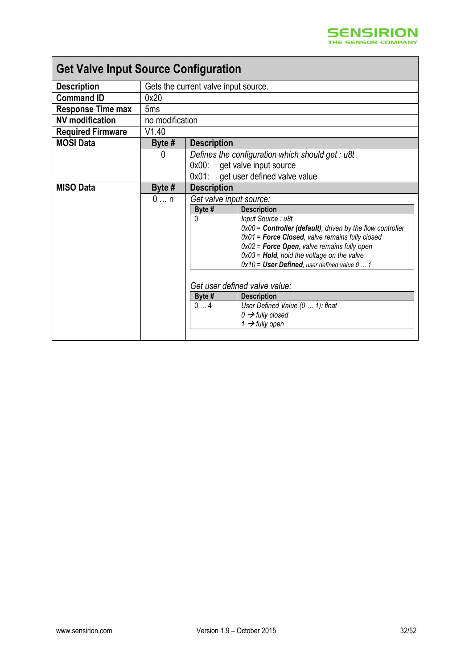# **Get Valve Input Source Configuration**

| <b>Description</b>       | Gets the current valve input source. |                         |                                                                      |
|--------------------------|--------------------------------------|-------------------------|----------------------------------------------------------------------|
| <b>Command ID</b>        | 0x20                                 |                         |                                                                      |
| <b>Response Time max</b> | 5 <sub>ms</sub>                      |                         |                                                                      |
| <b>NV</b> modification   | no modification                      |                         |                                                                      |
| <b>Required Firmware</b> | V1.40                                |                         |                                                                      |
| <b>MOSI Data</b>         | Byte #                               | <b>Description</b>      |                                                                      |
|                          | 0                                    |                         | Defines the configuration which should get : $u\delta t$             |
|                          |                                      | $0x00$ :                | get valve input source                                               |
|                          |                                      |                         | 0x01: get user defined valve value                                   |
| <b>MISO Data</b>         | Byte #                               | <b>Description</b>      |                                                                      |
|                          | $0 \dots n$                          | Get valve input source: |                                                                      |
|                          |                                      | Byte #                  | <b>Description</b>                                                   |
|                          |                                      | $\Omega$                | Input Source: u8t                                                    |
|                          |                                      |                         | $0x00 =$ <b>Controller (default)</b> , driven by the flow controller |
|                          |                                      |                         | $0x01$ = Force Closed, valve remains fully closed                    |
|                          |                                      |                         | $0x02$ = <b>Force Open</b> , valve remains fully open                |
|                          |                                      |                         | $0x03$ = Hold, hold the voltage on the valve                         |
|                          |                                      |                         | $0x10 =$ User Defined, user defined value $01$                       |
|                          |                                      |                         |                                                                      |
|                          |                                      |                         | Get user defined valve value:                                        |
|                          |                                      | Byte #                  | <b>Description</b>                                                   |
|                          |                                      | 04                      | User Defined Value (0  1): float                                     |
|                          |                                      |                         | $0 \rightarrow$ fully closed                                         |
|                          |                                      |                         | 1 $\rightarrow$ fully open                                           |
|                          |                                      |                         |                                                                      |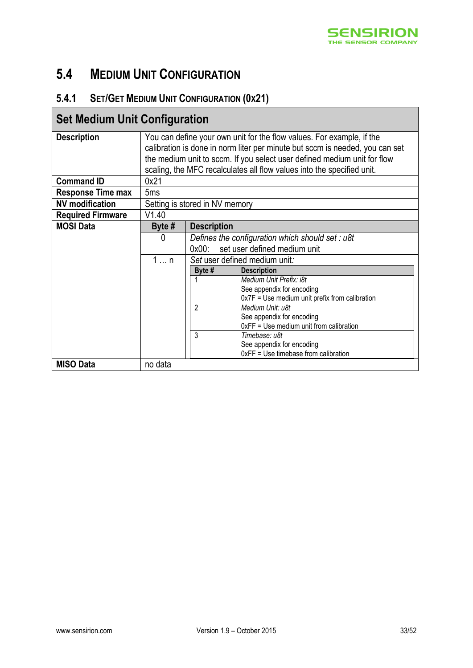

## <span id="page-32-1"></span>**5.4 MEDIUM UNIT CONFIGURATION**

### <span id="page-32-0"></span>**5.4.1 SET/GET MEDIUM UNIT CONFIGURATION (0X21)**

| <b>Set Medium Unit Configuration</b> |                                |                                          |                                                                              |  |
|--------------------------------------|--------------------------------|------------------------------------------|------------------------------------------------------------------------------|--|
| <b>Description</b>                   |                                |                                          | You can define your own unit for the flow values. For example, if the        |  |
|                                      |                                |                                          | calibration is done in norm liter per minute but sccm is needed, you can set |  |
|                                      |                                |                                          | the medium unit to sccm. If you select user defined medium unit for flow     |  |
|                                      |                                |                                          | scaling, the MFC recalculates all flow values into the specified unit.       |  |
| <b>Command ID</b>                    | 0x21                           |                                          |                                                                              |  |
| <b>Response Time max</b>             | 5 <sub>ms</sub>                |                                          |                                                                              |  |
| <b>NV</b> modification               | Setting is stored in NV memory |                                          |                                                                              |  |
| <b>Required Firmware</b>             | V1.40                          |                                          |                                                                              |  |
| <b>MOSI Data</b>                     | Byte $#$                       | <b>Description</b>                       |                                                                              |  |
|                                      | $\mathbf{0}$                   |                                          | Defines the configuration which should set: u8t                              |  |
|                                      |                                | set user defined medium unit<br>$0x00$ : |                                                                              |  |
|                                      | $1 \ldots n$                   | Set user defined medium unit:            |                                                                              |  |
|                                      |                                | Byte #                                   | <b>Description</b>                                                           |  |
|                                      |                                |                                          | Medium Unit Prefix: i8t                                                      |  |
|                                      |                                |                                          | See appendix for encoding                                                    |  |
|                                      |                                |                                          | $0x7F = Use medium unit prefix from calibration$                             |  |
|                                      |                                | 2                                        | Medium Unit: u8t                                                             |  |
|                                      |                                |                                          | See appendix for encoding                                                    |  |
|                                      |                                |                                          | 0xFF = Use medium unit from calibration                                      |  |
|                                      |                                | 3                                        | Timebase: u8t                                                                |  |
|                                      |                                |                                          | See appendix for encoding                                                    |  |
|                                      |                                |                                          | 0xFF = Use timebase from calibration                                         |  |
| <b>MISO Data</b>                     | no data                        |                                          |                                                                              |  |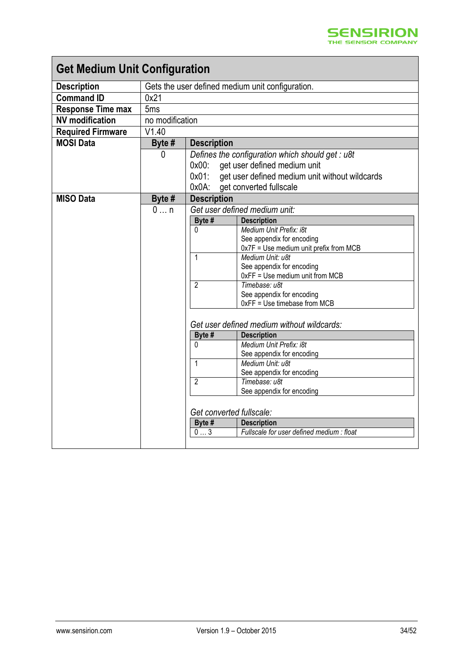| <b>Get Medium Unit Configuration</b> |                              |                    |                                                              |
|--------------------------------------|------------------------------|--------------------|--------------------------------------------------------------|
| <b>Description</b>                   |                              |                    | Gets the user defined medium unit configuration.             |
| <b>Command ID</b>                    | 0x21                         |                    |                                                              |
| <b>Response Time max</b>             | 5 <sub>ms</sub>              |                    |                                                              |
| <b>NV</b> modification               | no modification              |                    |                                                              |
| <b>Required Firmware</b>             | V1.40                        |                    |                                                              |
| <b>MOSI Data</b>                     | Byte #                       | <b>Description</b> |                                                              |
|                                      | $\Omega$                     |                    | Defines the configuration which should get : u8t             |
|                                      |                              | $0x00$ :           | get user defined medium unit                                 |
|                                      |                              | $0x01$ :           | get user defined medium unit without wildcards               |
|                                      |                              | 0x0A:              | get converted fullscale                                      |
| <b>MISO Data</b>                     | Byte #                       | <b>Description</b> |                                                              |
|                                      | $0 \dots n$                  |                    | Get user defined medium unit:                                |
|                                      |                              | Byte #             | <b>Description</b>                                           |
|                                      |                              | 0                  | Medium Unit Prefix: i8t                                      |
|                                      |                              |                    | See appendix for encoding                                    |
|                                      |                              |                    | 0x7F = Use medium unit prefix from MCB                       |
|                                      |                              | 1                  | Medium Unit: u8t                                             |
|                                      |                              |                    | See appendix for encoding<br>0xFF = Use medium unit from MCB |
|                                      |                              | $\overline{2}$     | Timebase: u8t                                                |
|                                      |                              |                    | See appendix for encoding                                    |
|                                      |                              |                    | 0xFF = Use timebase from MCB                                 |
|                                      |                              |                    | Get user defined medium without wildcards:                   |
|                                      | <b>Description</b><br>Byte # |                    |                                                              |
|                                      |                              | U                  | Medium Unit Prefix: i8t                                      |
|                                      |                              |                    | See appendix for encoding                                    |
|                                      |                              | 1                  | Medium Unit: u8t                                             |
|                                      |                              |                    | See appendix for encoding                                    |
|                                      |                              | $\overline{2}$     | Timebase: u8t                                                |
|                                      |                              |                    | See appendix for encoding                                    |
|                                      |                              |                    | Get converted fullscale:                                     |
|                                      |                              | Byte #             | <b>Description</b>                                           |
|                                      |                              | 03                 | Fullscale for user defined medium : float                    |
|                                      |                              |                    |                                                              |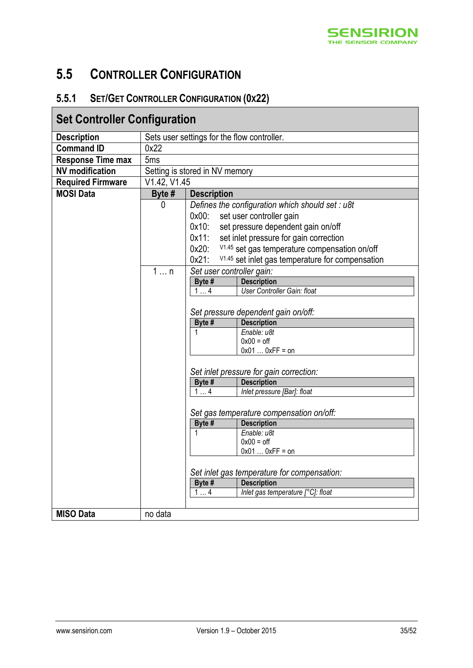

### <span id="page-34-1"></span>**5.5 CONTROLLER CONFIGURATION**

### <span id="page-34-0"></span>**5.5.1 SET/GET CONTROLLER CONFIGURATION (0X22)**

| <b>Set Controller Configuration</b> |                                          |                                                                          |
|-------------------------------------|------------------------------------------|--------------------------------------------------------------------------|
| <b>Description</b>                  |                                          | Sets user settings for the flow controller.                              |
| <b>Command ID</b>                   | 0x22                                     |                                                                          |
| <b>Response Time max</b>            | 5 <sub>ms</sub>                          |                                                                          |
| <b>NV</b> modification              |                                          | Setting is stored in NV memory                                           |
| <b>Required Firmware</b>            | V1.42, V1.45                             |                                                                          |
| <b>MOSI Data</b>                    | Byte #                                   | <b>Description</b>                                                       |
|                                     | 0                                        | Defines the configuration which should set: u8t                          |
|                                     |                                          | $0x00$ :<br>set user controller gain                                     |
|                                     |                                          | $0x10$ :<br>set pressure dependent gain on/off                           |
|                                     |                                          | $0x11$ :<br>set inlet pressure for gain correction                       |
|                                     |                                          | $0x20$ :<br>V <sub>1.45</sub> set gas temperature compensation on/off    |
|                                     |                                          | $0x21$ :<br>V <sub>1.45</sub> set inlet gas temperature for compensation |
|                                     | 1n                                       | Set user controller gain:                                                |
|                                     |                                          | <b>Description</b><br>Byte #                                             |
|                                     |                                          | User Controller Gain: float<br>14                                        |
|                                     |                                          |                                                                          |
|                                     |                                          | Set pressure dependent gain on/off:                                      |
|                                     |                                          | <b>Description</b><br>Byte #                                             |
|                                     |                                          | Enable: u8t<br>1<br>$0x00 =$ off                                         |
|                                     |                                          | $0x010xFF = on$                                                          |
|                                     |                                          |                                                                          |
|                                     |                                          | Set inlet pressure for gain correction:                                  |
|                                     |                                          | <b>Description</b><br>Byte #                                             |
|                                     |                                          | Inlet pressure [Bar]: float<br>14                                        |
|                                     | Set gas temperature compensation on/off: |                                                                          |
|                                     |                                          |                                                                          |
|                                     |                                          | Byte #<br><b>Description</b>                                             |
|                                     |                                          | Enable: u8t<br>1                                                         |
|                                     |                                          | $0x00 =$ off<br>$0x010xFF = on$                                          |
|                                     |                                          |                                                                          |
|                                     |                                          | Set inlet gas temperature for compensation:                              |
|                                     |                                          | <b>Description</b><br>Byte #                                             |
|                                     |                                          | Inlet gas temperature [°C]: float<br>14                                  |
|                                     |                                          |                                                                          |
| <b>MISO Data</b>                    | no data                                  |                                                                          |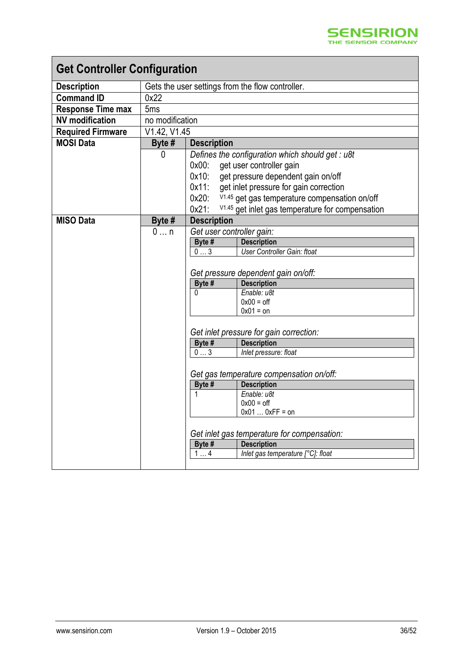| <b>Get Controller Configuration</b> |                 |                                                                                                                                                                                                                                                                                                                                                    |  |
|-------------------------------------|-----------------|----------------------------------------------------------------------------------------------------------------------------------------------------------------------------------------------------------------------------------------------------------------------------------------------------------------------------------------------------|--|
| <b>Description</b>                  |                 | Gets the user settings from the flow controller.                                                                                                                                                                                                                                                                                                   |  |
| <b>Command ID</b>                   | 0x22            |                                                                                                                                                                                                                                                                                                                                                    |  |
| <b>Response Time max</b>            | 5 <sub>ms</sub> |                                                                                                                                                                                                                                                                                                                                                    |  |
| <b>NV</b> modification              | no modification |                                                                                                                                                                                                                                                                                                                                                    |  |
| <b>Required Firmware</b>            |                 | V1.42, V1.45                                                                                                                                                                                                                                                                                                                                       |  |
| <b>MOSI Data</b>                    | Byte #          | <b>Description</b>                                                                                                                                                                                                                                                                                                                                 |  |
|                                     | 0               | Defines the configuration which should get : u8t<br>$0x00$ :<br>get user controller gain<br>$0x10$ :<br>get pressure dependent gain on/off<br>get inlet pressure for gain correction<br>0x11:<br>V <sub>1.45</sub> get gas temperature compensation on/off<br>$0x20$ :<br>$0x21$ :<br>V <sub>1.45</sub> get inlet gas temperature for compensation |  |
| <b>MISO Data</b>                    | Byte #          | <b>Description</b>                                                                                                                                                                                                                                                                                                                                 |  |
|                                     | 0n              | Get user controller gain:<br><b>Description</b><br>Byte #<br>User Controller Gain: ftoat<br>03<br>Get pressure dependent gain on/off:<br>Byte #<br><b>Description</b><br>Enable: u8t<br>0<br>$0x00 =$ off<br>$0x01 =$ on<br>Get inlet pressure for gain correction:                                                                                |  |
|                                     |                 | <b>Description</b><br>Byte #                                                                                                                                                                                                                                                                                                                       |  |
|                                     |                 | 03<br>Inlet pressure: float                                                                                                                                                                                                                                                                                                                        |  |
|                                     |                 | Get gas temperature compensation on/off:<br>Byte #<br><b>Description</b><br>Enable: u8t<br>1<br>$0x00 =$ off<br>$0x010xFF = on$<br>Get inlet gas temperature for compensation:<br>Byte #<br><b>Description</b><br>Inlet gas temperature [°C]: float<br>14                                                                                          |  |
|                                     |                 |                                                                                                                                                                                                                                                                                                                                                    |  |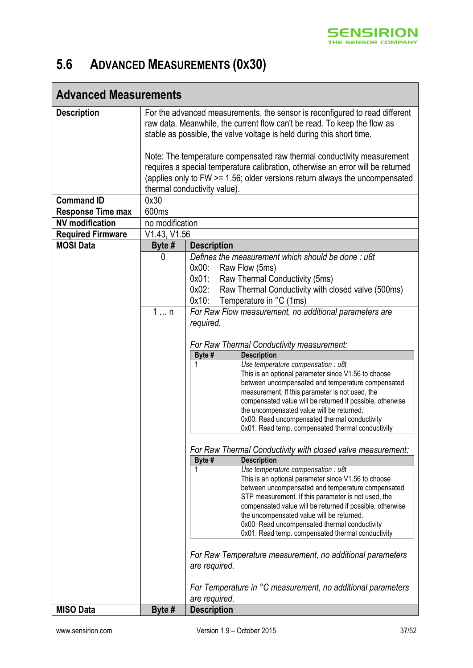

# <span id="page-36-0"></span>**5.6 ADVANCED MEASUREMENTS (0X30)**

| <b>Advanced Measurements</b> |                                                                                                                                                                                                                                                                          |                               |                                                                                                                                                                                                                                                                                                                                                                                                                                             |
|------------------------------|--------------------------------------------------------------------------------------------------------------------------------------------------------------------------------------------------------------------------------------------------------------------------|-------------------------------|---------------------------------------------------------------------------------------------------------------------------------------------------------------------------------------------------------------------------------------------------------------------------------------------------------------------------------------------------------------------------------------------------------------------------------------------|
| <b>Description</b>           | For the advanced measurements, the sensor is reconfigured to read different<br>raw data. Meanwhile, the current flow can't be read. To keep the flow as<br>stable as possible, the valve voltage is held during this short time.                                         |                               |                                                                                                                                                                                                                                                                                                                                                                                                                                             |
|                              | Note: The temperature compensated raw thermal conductivity measurement<br>requires a special temperature calibration, otherwise an error will be returned<br>(applies only to FW >= 1.56; older versions return always the uncompensated<br>thermal conductivity value). |                               |                                                                                                                                                                                                                                                                                                                                                                                                                                             |
| <b>Command ID</b>            | 0x30                                                                                                                                                                                                                                                                     |                               |                                                                                                                                                                                                                                                                                                                                                                                                                                             |
| <b>Response Time max</b>     | 600 <sub>ms</sub>                                                                                                                                                                                                                                                        |                               |                                                                                                                                                                                                                                                                                                                                                                                                                                             |
| <b>NV</b> modification       | no modification                                                                                                                                                                                                                                                          |                               |                                                                                                                                                                                                                                                                                                                                                                                                                                             |
| <b>Required Firmware</b>     | V1.43, V1.56                                                                                                                                                                                                                                                             |                               |                                                                                                                                                                                                                                                                                                                                                                                                                                             |
| <b>MOSI Data</b>             | Byte #                                                                                                                                                                                                                                                                   | <b>Description</b>            |                                                                                                                                                                                                                                                                                                                                                                                                                                             |
|                              | 0                                                                                                                                                                                                                                                                        | $0x00$ :<br>$0x01$ :<br>0x02: | Defines the measurement which should be done: u8t<br>Raw Flow (5ms)<br>Raw Thermal Conductivity (5ms)<br>Raw Thermal Conductivity with closed valve (500ms)                                                                                                                                                                                                                                                                                 |
|                              |                                                                                                                                                                                                                                                                          | 0x10:                         | Temperature in °C (1ms)                                                                                                                                                                                                                                                                                                                                                                                                                     |
|                              | 1n                                                                                                                                                                                                                                                                       |                               | For Raw Flow measurement, no additional parameters are                                                                                                                                                                                                                                                                                                                                                                                      |
|                              |                                                                                                                                                                                                                                                                          | required.                     |                                                                                                                                                                                                                                                                                                                                                                                                                                             |
|                              |                                                                                                                                                                                                                                                                          |                               | For Raw Thermal Conductivity measurement:                                                                                                                                                                                                                                                                                                                                                                                                   |
|                              |                                                                                                                                                                                                                                                                          | Byte #                        | <b>Description</b>                                                                                                                                                                                                                                                                                                                                                                                                                          |
|                              |                                                                                                                                                                                                                                                                          |                               | Use temperature compensation : u8t<br>This is an optional parameter since V1.56 to choose<br>between uncompensated and temperature compensated<br>measurement. If this parameter is not used, the<br>compensated value will be returned if possible, otherwise<br>the uncompensated value will be returned.<br>0x00: Read uncompensated thermal conductivity<br>0x01: Read temp. compensated thermal conductivity                           |
|                              |                                                                                                                                                                                                                                                                          |                               |                                                                                                                                                                                                                                                                                                                                                                                                                                             |
|                              | For Raw Thermal Conductivity with closed valve measurement:                                                                                                                                                                                                              |                               |                                                                                                                                                                                                                                                                                                                                                                                                                                             |
|                              |                                                                                                                                                                                                                                                                          | Byte #<br>1                   | <b>Description</b><br>Use temperature compensation : u8t<br>This is an optional parameter since V1.56 to choose<br>between uncompensated and temperature compensated<br>STP measurement. If this parameter is not used, the<br>compensated value will be returned if possible, otherwise<br>the uncompensated value will be returned.<br>0x00: Read uncompensated thermal conductivity<br>0x01: Read temp. compensated thermal conductivity |
|                              |                                                                                                                                                                                                                                                                          |                               | For Raw Temperature measurement, no additional parameters                                                                                                                                                                                                                                                                                                                                                                                   |
|                              |                                                                                                                                                                                                                                                                          | are required.                 |                                                                                                                                                                                                                                                                                                                                                                                                                                             |
|                              |                                                                                                                                                                                                                                                                          | are required.                 | For Temperature in °C measurement, no additional parameters                                                                                                                                                                                                                                                                                                                                                                                 |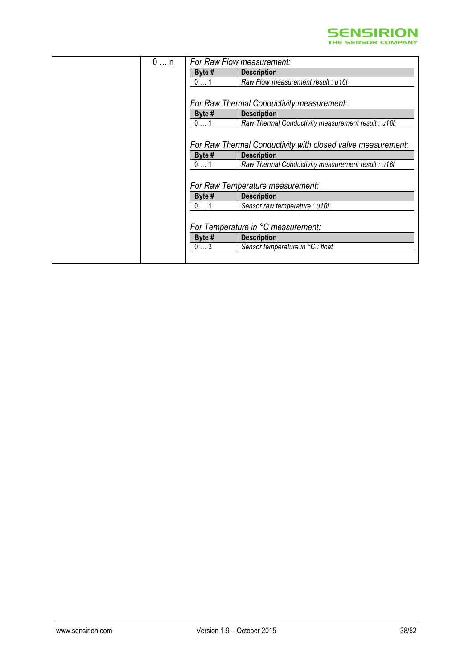

| $0 \dots n$ | For Raw Flow measurement:                                   |
|-------------|-------------------------------------------------------------|
| Byte #      | <b>Description</b>                                          |
| 01          | Raw Flow measurement result : u16t                          |
|             |                                                             |
|             | For Raw Thermal Conductivity measurement:                   |
| Byte #      | <b>Description</b>                                          |
| 01          | Raw Thermal Conductivity measurement result : u16t          |
|             |                                                             |
|             | For Raw Thermal Conductivity with closed valve measurement: |
| Byte #      | <b>Description</b>                                          |
| 01          | Raw Thermal Conductivity measurement result : u16t          |
|             |                                                             |
|             | For Raw Temperature measurement:                            |
| Byte #      | <b>Description</b>                                          |
| 01          | Sensor raw temperature : u16t                               |
|             |                                                             |
|             | For Temperature in °C measurement:                          |
| Byte #      | <b>Description</b>                                          |
| 03          | Sensor temperature in °C : float                            |
|             |                                                             |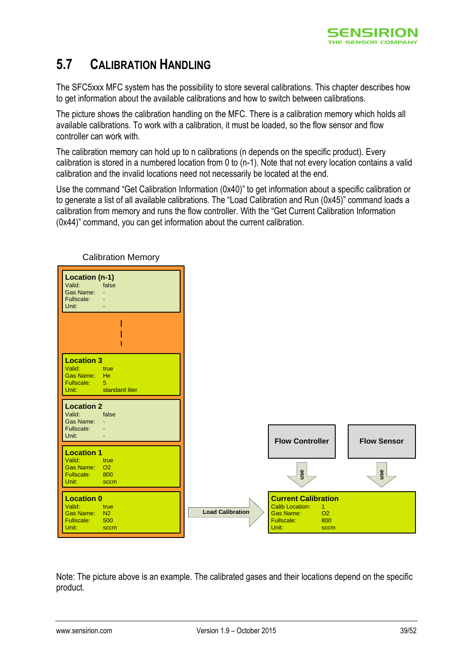

## <span id="page-38-0"></span>**5.7 CALIBRATION HANDLING**

The SFC5xxx MFC system has the possibility to store several calibrations. This chapter describes how to get information about the available calibrations and how to switch between calibrations.

The picture shows the calibration handling on the MFC. There is a calibration memory which holds all available calibrations. To work with a calibration, it must be loaded, so the flow sensor and flow controller can work with.

The calibration memory can hold up to n calibrations (n depends on the specific product). Every calibration is stored in a numbered location from 0 to (n-1). Note that not every location contains a valid calibration and the invalid locations need not necessarily be located at the end.

Use the command "Get Calibration [Information \(0x40\)](#page-40-0)" to get information about a specific calibration or to generate a list of all available calibrations. The "[Load Calibration and Run \(0x45\)](#page-39-0)" command loads a calibration from memory and runs the flow controller. With the "[Get Current Calibration Information](#page-43-0)  [\(0x44\)](#page-43-0)" command, you can get information about the current calibration.



Calibration Memory

Note: The picture above is an example. The calibrated gases and their locations depend on the specific product.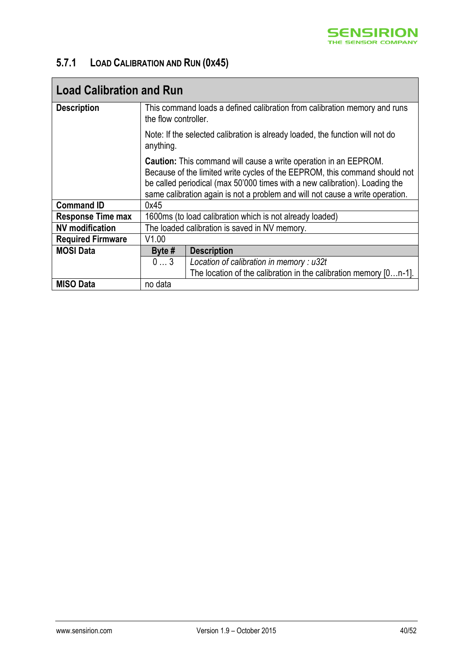

### <span id="page-39-0"></span>**5.7.1 LOAD CALIBRATION AND RUN (0X45)**

| <b>Load Calibration and Run</b> |                                                                                                   |                                                                                                                                                                                                                                                                                                                       |  |
|---------------------------------|---------------------------------------------------------------------------------------------------|-----------------------------------------------------------------------------------------------------------------------------------------------------------------------------------------------------------------------------------------------------------------------------------------------------------------------|--|
| <b>Description</b>              | This command loads a defined calibration from calibration memory and runs<br>the flow controller. |                                                                                                                                                                                                                                                                                                                       |  |
|                                 | Note: If the selected calibration is already loaded, the function will not do<br>anything.        |                                                                                                                                                                                                                                                                                                                       |  |
|                                 |                                                                                                   | <b>Caution:</b> This command will cause a write operation in an EEPROM.<br>Because of the limited write cycles of the EEPROM, this command should not<br>be called periodical (max 50'000 times with a new calibration). Loading the<br>same calibration again is not a problem and will not cause a write operation. |  |
| <b>Command ID</b>               | 0x45                                                                                              |                                                                                                                                                                                                                                                                                                                       |  |
| <b>Response Time max</b>        |                                                                                                   | 1600ms (to load calibration which is not already loaded)                                                                                                                                                                                                                                                              |  |
| <b>NV</b> modification          | The loaded calibration is saved in NV memory.                                                     |                                                                                                                                                                                                                                                                                                                       |  |
| <b>Required Firmware</b>        | V1.00                                                                                             |                                                                                                                                                                                                                                                                                                                       |  |
| <b>MOSI Data</b>                | Byte $#$                                                                                          | <b>Description</b>                                                                                                                                                                                                                                                                                                    |  |
|                                 | 03                                                                                                | Location of calibration in memory : $u32t$                                                                                                                                                                                                                                                                            |  |
|                                 |                                                                                                   | The location of the calibration in the calibration memory $[0n-1]$ .                                                                                                                                                                                                                                                  |  |
| <b>MISO Data</b>                | no data                                                                                           |                                                                                                                                                                                                                                                                                                                       |  |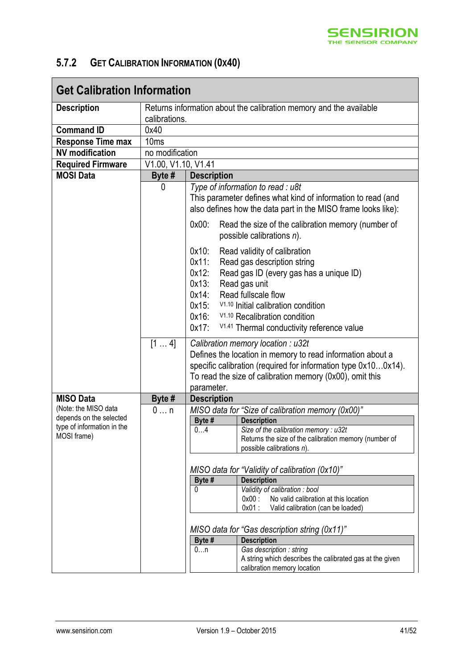

### <span id="page-40-0"></span>**5.7.2 GET CALIBRATION INFORMATION (0X40)**

| <b>Get Calibration Information</b>                                   |                     |                                                                                                                                                                                                                                                                                                                                                                                                          |  |
|----------------------------------------------------------------------|---------------------|----------------------------------------------------------------------------------------------------------------------------------------------------------------------------------------------------------------------------------------------------------------------------------------------------------------------------------------------------------------------------------------------------------|--|
| <b>Description</b>                                                   |                     | Returns information about the calibration memory and the available                                                                                                                                                                                                                                                                                                                                       |  |
|                                                                      | calibrations.       |                                                                                                                                                                                                                                                                                                                                                                                                          |  |
| <b>Command ID</b>                                                    | 0x40                |                                                                                                                                                                                                                                                                                                                                                                                                          |  |
| <b>Response Time max</b>                                             | 10 <sub>ms</sub>    |                                                                                                                                                                                                                                                                                                                                                                                                          |  |
| <b>NV</b> modification                                               | no modification     |                                                                                                                                                                                                                                                                                                                                                                                                          |  |
| <b>Required Firmware</b>                                             | V1.00, V1.10, V1.41 |                                                                                                                                                                                                                                                                                                                                                                                                          |  |
| <b>MOSI Data</b>                                                     | Byte $#$            | <b>Description</b>                                                                                                                                                                                                                                                                                                                                                                                       |  |
|                                                                      | 0                   | Type of information to read : u8t<br>This parameter defines what kind of information to read (and<br>also defines how the data part in the MISO frame looks like):                                                                                                                                                                                                                                       |  |
|                                                                      |                     | $0x00$ :<br>Read the size of the calibration memory (number of<br>possible calibrations $n$ ).                                                                                                                                                                                                                                                                                                           |  |
|                                                                      |                     | $0x10$ :<br>Read validity of calibration<br>$0x11$ :<br>Read gas description string<br>$0x12$ :<br>Read gas ID (every gas has a unique ID)<br>$0x13$ :<br>Read gas unit<br>Read fullscale flow<br>$0x14$ :<br>V <sub>1.10</sub> Initial calibration condition<br>$0x15$ :<br>$0x16$ :<br>V <sub>1.10</sub> Recalibration condition<br>$0x17$ :<br>V <sub>1.41</sub> Thermal conductivity reference value |  |
|                                                                      | [14]                | Calibration memory location : u32t<br>Defines the location in memory to read information about a<br>specific calibration (required for information type 0x100x14).<br>To read the size of calibration memory (0x00), omit this<br>parameter.                                                                                                                                                             |  |
| <b>MISO Data</b>                                                     | Byte #              | <b>Description</b>                                                                                                                                                                                                                                                                                                                                                                                       |  |
| (Note: the MISO data                                                 | 0n                  | MISO data for "Size of calibration memory (0x00)"                                                                                                                                                                                                                                                                                                                                                        |  |
| depends on the selected<br>type of information in the<br>MOSI frame) |                     | Byte #<br><b>Description</b><br>04<br>Size of the calibration memory : u32t<br>Returns the size of the calibration memory (number of<br>possible calibrations $n$ ).                                                                                                                                                                                                                                     |  |
|                                                                      |                     | MISO data for "Validity of calibration (0x10)"<br>Byte #<br><b>Description</b>                                                                                                                                                                                                                                                                                                                           |  |
|                                                                      |                     | Validity of calibration : bool<br>0<br>$0x00$ :<br>No valid calibration at this location<br>$0x01$ :<br>Valid calibration (can be loaded)                                                                                                                                                                                                                                                                |  |
|                                                                      |                     | MISO data for "Gas description string (0x11)"                                                                                                                                                                                                                                                                                                                                                            |  |
|                                                                      |                     | <b>Description</b><br>Byte #                                                                                                                                                                                                                                                                                                                                                                             |  |
|                                                                      |                     | Gas description : string<br>0n<br>A string which describes the calibrated gas at the given<br>calibration memory location                                                                                                                                                                                                                                                                                |  |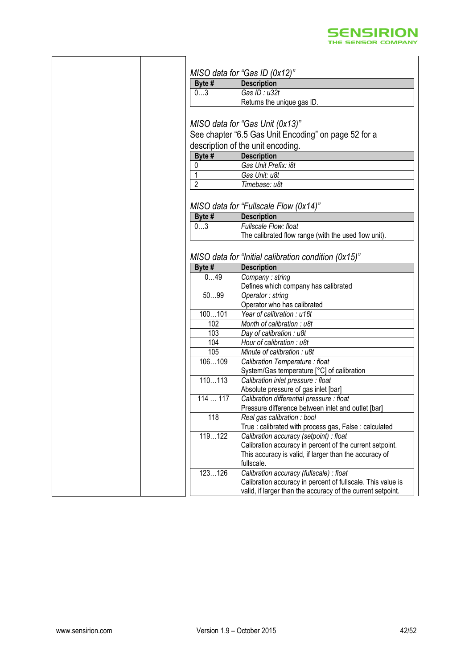

| Byte #         | MISO data for "Gas ID $(0x12)$ "<br><b>Description</b>                                                                                                                                   |
|----------------|------------------------------------------------------------------------------------------------------------------------------------------------------------------------------------------|
| 03             | Gas ID: u32t                                                                                                                                                                             |
|                | Returns the unique gas ID.                                                                                                                                                               |
|                |                                                                                                                                                                                          |
|                | MISO data for "Gas Unit (0x13)"                                                                                                                                                          |
|                | See chapter "6.5 Gas Unit Encoding" on page 52 for a                                                                                                                                     |
|                | description of the unit encoding.                                                                                                                                                        |
| Byte #         | <b>Description</b>                                                                                                                                                                       |
| 0              | Gas Unit Prefix: i8t                                                                                                                                                                     |
|                | Gas Unit: u8t                                                                                                                                                                            |
| $\overline{2}$ | Timebase: u8t                                                                                                                                                                            |
| Byte #         | MISO data for "Fullscale Flow (0x14)"<br><b>Description</b>                                                                                                                              |
| 03             | Fullscale Flow: float                                                                                                                                                                    |
|                | The calibrated flow range (with the used flow unit).                                                                                                                                     |
| Byte #<br>049  | <b>Description</b><br>Company: string                                                                                                                                                    |
|                |                                                                                                                                                                                          |
|                | Defines which company has calibrated                                                                                                                                                     |
| 5099           | Operator: string                                                                                                                                                                         |
|                | Operator who has calibrated                                                                                                                                                              |
| 100101         | Year of calibration : u16t                                                                                                                                                               |
| 102            | Month of calibration : u8t                                                                                                                                                               |
| 103            | Day of calibration: u8t                                                                                                                                                                  |
| 104            | Hour of calibration : u8t                                                                                                                                                                |
| 105            | Minute of calibration : u8t                                                                                                                                                              |
| 106109         | Calibration Temperature : float<br>System/Gas temperature [°C] of calibration                                                                                                            |
| 110113         | Calibration inlet pressure : float                                                                                                                                                       |
|                | Absolute pressure of gas inlet [bar]                                                                                                                                                     |
| 114117         | Calibration differential pressure : float                                                                                                                                                |
|                | Pressure difference between inlet and outlet [bar]                                                                                                                                       |
| 118            | Real gas calibration : bool                                                                                                                                                              |
|                |                                                                                                                                                                                          |
|                |                                                                                                                                                                                          |
| 119122         | Calibration accuracy (setpoint) : float                                                                                                                                                  |
|                |                                                                                                                                                                                          |
|                |                                                                                                                                                                                          |
|                | True: calibrated with process gas, False: calculated<br>Calibration accuracy in percent of the current setpoint.<br>This accuracy is valid, if larger than the accuracy of<br>fullscale. |
| 123126         | Calibration accuracy (fullscale) : float<br>Calibration accuracy in percent of fullscale. This value is                                                                                  |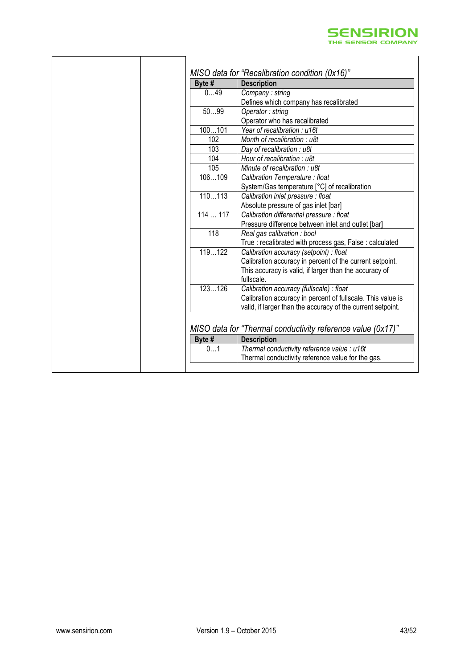

| Byte # | <b>Description</b>                                          |
|--------|-------------------------------------------------------------|
| 049    | Company: string                                             |
|        | Defines which company has recalibrated                      |
| 5099   | Operator: string                                            |
|        | Operator who has recalibrated                               |
| 100101 | Year of recalibration: u16t                                 |
| 102    | Month of recalibration : u8t                                |
| 103    | Day of recalibration : u8t                                  |
| 104    | Hour of recalibration : u8t                                 |
| 105    | Minute of recalibration : u8t                               |
| 106109 | Calibration Temperature : float                             |
|        | System/Gas temperature [°C] of recalibration                |
| 110113 | Calibration inlet pressure : float                          |
|        | Absolute pressure of gas inlet [bar]                        |
| 114117 | Calibration differential pressure : float                   |
|        | Pressure difference between inlet and outlet [bar]          |
| 118    | Real gas calibration : bool                                 |
|        | True: recalibrated with process gas, False: calculated      |
| 119122 | Calibration accuracy (setpoint) : float                     |
|        | Calibration accuracy in percent of the current setpoint.    |
|        | This accuracy is valid, if larger than the accuracy of      |
|        | fullscale.                                                  |
| 123126 | Calibration accuracy (fullscale) : float                    |
|        | Calibration accuracy in percent of fullscale. This value is |
|        | valid, if larger than the accuracy of the current setpoint. |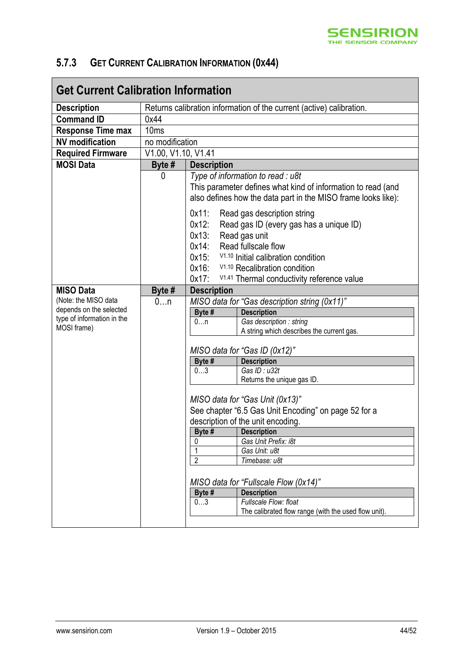

### <span id="page-43-0"></span>**5.7.3 GET CURRENT CALIBRATION INFORMATION (0X44)**

| <b>Get Current Calibration Information</b>                                                   |                                                                      |                                                                   |                                                                                                                                                                                                                                                                                                                                                              |  |
|----------------------------------------------------------------------------------------------|----------------------------------------------------------------------|-------------------------------------------------------------------|--------------------------------------------------------------------------------------------------------------------------------------------------------------------------------------------------------------------------------------------------------------------------------------------------------------------------------------------------------------|--|
| <b>Description</b>                                                                           | Returns calibration information of the current (active) calibration. |                                                                   |                                                                                                                                                                                                                                                                                                                                                              |  |
| <b>Command ID</b>                                                                            | 0x44                                                                 |                                                                   |                                                                                                                                                                                                                                                                                                                                                              |  |
| <b>Response Time max</b>                                                                     | 10 <sub>ms</sub>                                                     |                                                                   |                                                                                                                                                                                                                                                                                                                                                              |  |
| <b>NV</b> modification                                                                       | no modification                                                      |                                                                   |                                                                                                                                                                                                                                                                                                                                                              |  |
| <b>Required Firmware</b>                                                                     | V1.00, V1.10, V1.41                                                  |                                                                   |                                                                                                                                                                                                                                                                                                                                                              |  |
| <b>MOSI Data</b>                                                                             | Byte #                                                               | <b>Description</b>                                                |                                                                                                                                                                                                                                                                                                                                                              |  |
|                                                                                              | 0                                                                    | $0x11$ :                                                          | Type of information to read : u8t<br>This parameter defines what kind of information to read (and<br>also defines how the data part in the MISO frame looks like):<br>Read gas description string                                                                                                                                                            |  |
|                                                                                              |                                                                      | 0x12:<br>$0x13$ :<br>$0x14$ :<br>$0x15$ :<br>$0x16$ :<br>$0x17$ : | Read gas ID (every gas has a unique ID)<br>Read gas unit<br>Read fullscale flow<br>V <sub>1.10</sub> Initial calibration condition<br>V <sub>1.10</sub> Recalibration condition<br>V <sub>1.41</sub> Thermal conductivity reference value                                                                                                                    |  |
| <b>MISO Data</b>                                                                             | Byte #                                                               | <b>Description</b>                                                |                                                                                                                                                                                                                                                                                                                                                              |  |
| (Note: the MISO data<br>depends on the selected<br>type of information in the<br>MOSI frame) | 0n                                                                   | Byte #<br>0n                                                      | MISO data for "Gas description string (0x11)"<br><b>Description</b><br>Gas description : string<br>A string which describes the current gas.                                                                                                                                                                                                                 |  |
|                                                                                              |                                                                      |                                                                   | MISO data for "Gas ID (0x12)"                                                                                                                                                                                                                                                                                                                                |  |
|                                                                                              |                                                                      | Byte #                                                            | <b>Description</b>                                                                                                                                                                                                                                                                                                                                           |  |
|                                                                                              |                                                                      | 03                                                                | Gas ID: u32t<br>Returns the unique gas ID.                                                                                                                                                                                                                                                                                                                   |  |
|                                                                                              |                                                                      | Byte #<br>0<br>$\overline{2}$<br>Byte #<br>03                     | MISO data for "Gas Unit (0x13)"<br>See chapter "6.5 Gas Unit Encoding" on page 52 for a<br>description of the unit encoding.<br><b>Description</b><br>Gas Unit Prefix: i8t<br>Gas Unit: u8t<br>Timebase: u8t<br>MISO data for "Fullscale Flow (0x14)"<br><b>Description</b><br>Fullscale Flow: float<br>The calibrated flow range (with the used flow unit). |  |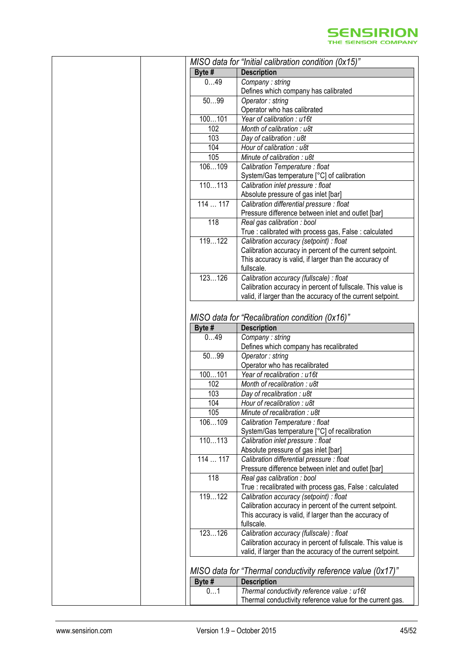

| Byte #   | MISO data for "Initial calibration condition (0x15)"<br><b>Description</b>                               |
|----------|----------------------------------------------------------------------------------------------------------|
| 049      | Company: string                                                                                          |
|          | Defines which company has calibrated                                                                     |
| 5099     | Operator: string<br>Operator who has calibrated                                                          |
| 100101   | Year of calibration : u16t                                                                               |
| 102      | Month of calibration : u8t                                                                               |
| 103      | Day of calibration : u8t                                                                                 |
| 104      | Hour of calibration : u8t                                                                                |
| 105      | Minute of calibration : u8t                                                                              |
| 106109   | Calibration Temperature : float                                                                          |
| 110113   | System/Gas temperature [°C] of calibration                                                               |
|          | Calibration inlet pressure : float<br>Absolute pressure of gas inlet [bar]                               |
| 114  117 | Calibration differential pressure : float                                                                |
|          | Pressure difference between inlet and outlet [bar]                                                       |
| 118      | Real gas calibration : bool                                                                              |
|          | True : calibrated with process gas, False : calculated                                                   |
| 119122   | Calibration accuracy (setpoint) : float                                                                  |
|          | Calibration accuracy in percent of the current setpoint.                                                 |
|          | This accuracy is valid, if larger than the accuracy of<br>fullscale.                                     |
| 123126   | Calibration accuracy (fullscale) : float                                                                 |
|          | Calibration accuracy in percent of fullscale. This value is                                              |
|          | valid, if larger than the accuracy of the current setpoint.                                              |
|          | Company: string<br>Defines which company has recalibrated                                                |
| 5099     | Operator: string<br>Operator who has recalibrated                                                        |
| 100101   | Year of recalibration: u16t                                                                              |
| 102      | Month of recalibration : u8t                                                                             |
| 103      |                                                                                                          |
|          |                                                                                                          |
| 104      | Day of recalibration : u8t<br>Hour of recalibration : u8t                                                |
| 105      | Minute of recalibration : u8t                                                                            |
| 106109   | Calibration Temperature : float                                                                          |
|          | System/Gas temperature [°C] of recalibration                                                             |
| 110113   | Calibration inlet pressure : float                                                                       |
|          | Absolute pressure of gas inlet [bar]                                                                     |
| 114117   | Calibration differential pressure : float                                                                |
|          | Pressure difference between inlet and outlet [bar]                                                       |
| 118      | Real gas calibration : bool                                                                              |
| 119122   | True: recalibrated with process gas, False: calculated<br>Calibration accuracy (setpoint) : float        |
|          | Calibration accuracy in percent of the current setpoint.                                                 |
|          | This accuracy is valid, if larger than the accuracy of                                                   |
|          | fullscale.                                                                                               |
| 123126   | Calibration accuracy (fullscale) : float                                                                 |
|          | Calibration accuracy in percent of fullscale. This value is                                              |
|          | valid, if larger than the accuracy of the current setpoint.                                              |
|          | MISO data for "Thermal conductivity reference value (0x17)"                                              |
| Byte #   | <b>Description</b>                                                                                       |
| 01       | Thermal conductivity reference value : u16t<br>Thermal conductivity reference value for the current gas. |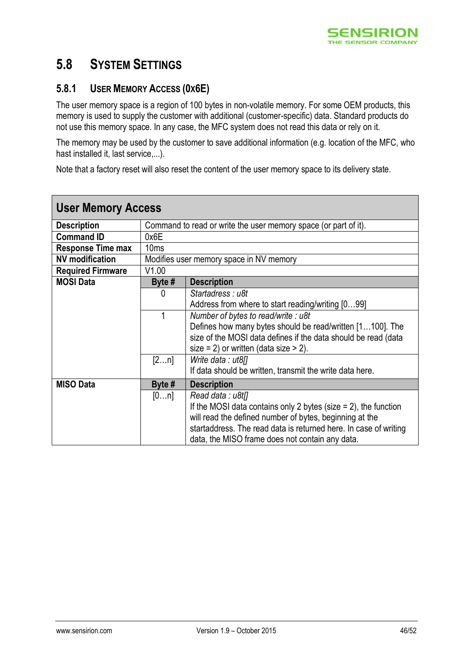

### <span id="page-45-0"></span>**5.8 SYSTEM SETTINGS**

### <span id="page-45-1"></span>**5.8.1 USER MEMORY ACCESS (0X6E)**

The user memory space is a region of 100 bytes in non-volatile memory. For some OEM products, this memory is used to supply the customer with additional (customer-specific) data. Standard products do not use this memory space. In any case, the MFC system does not read this data or rely on it.

The memory may be used by the customer to save additional information (e.g. location of the MFC, who hast installed it, last service,...).

Note that a factory reset will also reset the content of the user memory space to its delivery state.

| <b>User Memory Access</b> |                  |                                                                    |
|---------------------------|------------------|--------------------------------------------------------------------|
| <b>Description</b>        |                  | Command to read or write the user memory space (or part of it).    |
| <b>Command ID</b>         | 0x6E             |                                                                    |
| <b>Response Time max</b>  | 10 <sub>ms</sub> |                                                                    |
| <b>NV</b> modification    |                  | Modifies user memory space in NV memory                            |
| <b>Required Firmware</b>  | V1.00            |                                                                    |
| <b>MOSI Data</b>          | Byte #           | <b>Description</b>                                                 |
|                           | 0                | Startadress: u8t                                                   |
|                           |                  | Address from where to start reading/writing [099]                  |
|                           | 1                | Number of bytes to read/write: u8t                                 |
|                           |                  | Defines how many bytes should be read/written [1100]. The          |
|                           |                  | size of the MOSI data defines if the data should be read (data     |
|                           |                  | size = 2) or written (data size > 2).                              |
|                           | [2n]             | Write data : ut8[]                                                 |
|                           |                  | If data should be written, transmit the write data here.           |
| <b>MISO Data</b>          | Byte #           | <b>Description</b>                                                 |
|                           | [0n]             | Read data: u8t <sub>II</sub>                                       |
|                           |                  | If the MOSI data contains only 2 bytes (size $= 2$ ), the function |
|                           |                  | will read the defined number of bytes, beginning at the            |
|                           |                  | startaddress. The read data is returned here. In case of writing   |
|                           |                  | data, the MISO frame does not contain any data.                    |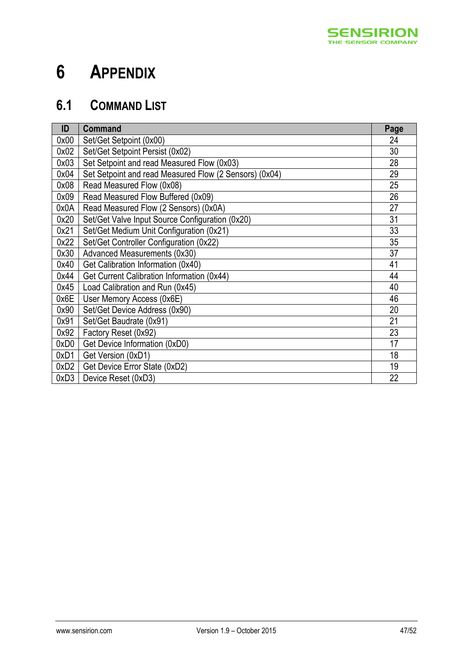

# <span id="page-46-0"></span>**6 APPENDIX**

# <span id="page-46-1"></span>**6.1 COMMAND LIST**

| ID   | <b>Command</b>                                         | Page |
|------|--------------------------------------------------------|------|
| 0x00 | Set/Get Setpoint (0x00)                                | 24   |
| 0x02 | Set/Get Setpoint Persist (0x02)                        | 30   |
| 0x03 | Set Setpoint and read Measured Flow (0x03)             | 28   |
| 0x04 | Set Setpoint and read Measured Flow (2 Sensors) (0x04) | 29   |
| 0x08 | Read Measured Flow (0x08)                              | 25   |
| 0x09 | Read Measured Flow Buffered (0x09)                     | 26   |
| 0x0A | Read Measured Flow (2 Sensors) (0x0A)                  | 27   |
| 0x20 | Set/Get Valve Input Source Configuration (0x20)        | 31   |
| 0x21 | Set/Get Medium Unit Configuration (0x21)               | 33   |
| 0x22 | Set/Get Controller Configuration (0x22)                | 35   |
| 0x30 | Advanced Measurements (0x30)                           | 37   |
| 0x40 | Get Calibration Information (0x40)                     | 41   |
| 0x44 | Get Current Calibration Information (0x44)             | 44   |
| 0x45 | Load Calibration and Run (0x45)                        | 40   |
| 0x6E | User Memory Access (0x6E)                              | 46   |
| 0x90 | Set/Get Device Address (0x90)                          | 20   |
| 0x91 | Set/Get Baudrate (0x91)                                | 21   |
| 0x92 | Factory Reset (0x92)                                   | 23   |
| 0xD0 | Get Device Information (0xD0)                          | 17   |
| 0xD1 | Get Version (0xD1)                                     | 18   |
| 0xD2 | Get Device Error State (0xD2)                          | 19   |
| 0xD3 | Device Reset (0xD3)                                    | 22   |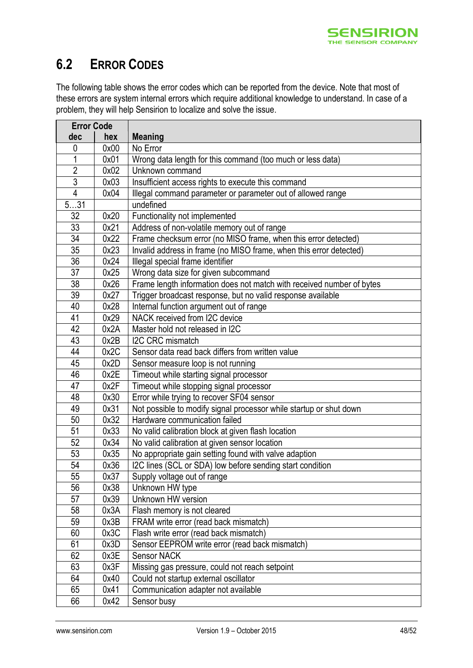

## <span id="page-47-0"></span>**6.2 ERROR CODES**

The following table shows the error codes which can be reported from the device. Note that most of these errors are system internal errors which require additional knowledge to understand. In case of a problem, they will help Sensirion to localize and solve the issue.

| <b>Error Code</b> |      |                                                                       |
|-------------------|------|-----------------------------------------------------------------------|
| dec               | hex  | <b>Meaning</b>                                                        |
| 0                 | 0x00 | No Error                                                              |
| 1                 | 0x01 | Wrong data length for this command (too much or less data)            |
| $\overline{2}$    | 0x02 | Unknown command                                                       |
| $\overline{3}$    | 0x03 | Insufficient access rights to execute this command                    |
| $\overline{4}$    | 0x04 | Illegal command parameter or parameter out of allowed range           |
| 531               |      | undefined                                                             |
| 32                | 0x20 | Functionality not implemented                                         |
| 33                | 0x21 | Address of non-volatile memory out of range                           |
| 34                | 0x22 | Frame checksum error (no MISO frame, when this error detected)        |
| $\overline{35}$   | 0x23 | Invalid address in frame (no MISO frame, when this error detected)    |
| $\overline{36}$   | 0x24 | Illegal special frame identifier                                      |
| 37                | 0x25 | Wrong data size for given subcommand                                  |
| 38                | 0x26 | Frame length information does not match with received number of bytes |
| 39                | 0x27 | Trigger broadcast response, but no valid response available           |
| 40                | 0x28 | Internal function argument out of range                               |
| 41                | 0x29 | NACK received from I2C device                                         |
| 42                | 0x2A | Master hold not released in I2C                                       |
| 43                | 0x2B | I2C CRC mismatch                                                      |
| 44                | 0x2C | Sensor data read back differs from written value                      |
| 45                | 0x2D | Sensor measure loop is not running                                    |
| 46                | 0x2E | Timeout while starting signal processor                               |
| 47                | 0x2F | Timeout while stopping signal processor                               |
| 48                | 0x30 | Error while trying to recover SF04 sensor                             |
| 49                | 0x31 | Not possible to modify signal processor while startup or shut down    |
| 50                | 0x32 | Hardware communication failed                                         |
| 51                | 0x33 | No valid calibration block at given flash location                    |
| 52                | 0x34 | No valid calibration at given sensor location                         |
| 53                | 0x35 | No appropriate gain setting found with valve adaption                 |
| 54                | 0x36 | I2C lines (SCL or SDA) low before sending start condition             |
| 55                | 0x37 | Supply voltage out of range                                           |
| 56                | 0x38 | Unknown HW type                                                       |
| 57                | 0x39 | Unknown HW version                                                    |
| 58                | 0x3A | Flash memory is not cleared                                           |
| 59                | 0x3B | FRAM write error (read back mismatch)                                 |
| 60                | 0x3C | Flash write error (read back mismatch)                                |
| 61                | 0x3D | Sensor EEPROM write error (read back mismatch)                        |
| 62                | 0x3E | <b>Sensor NACK</b>                                                    |
| 63                | 0x3F | Missing gas pressure, could not reach setpoint                        |
| 64                | 0x40 | Could not startup external oscillator                                 |
| 65                | 0x41 | Communication adapter not available                                   |
| 66                | 0x42 | Sensor busy                                                           |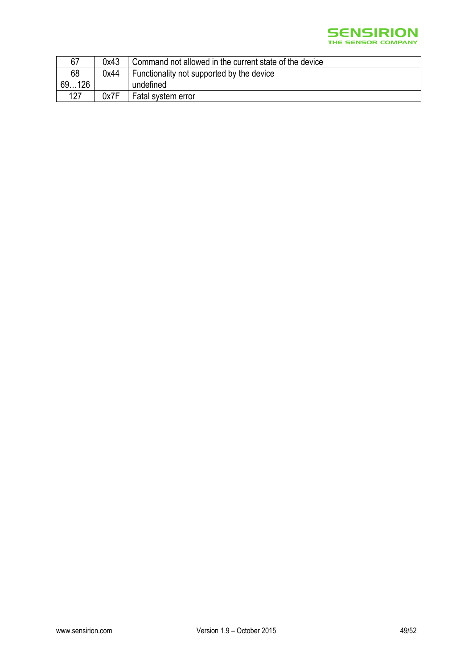

| 67         | 0x43 | Command not allowed in the current state of the device |
|------------|------|--------------------------------------------------------|
| 68         | 0x44 | Functionality not supported by the device              |
| 69.<br>126 |      | undefined                                              |
| 127        | 0x7F | Fatal system error                                     |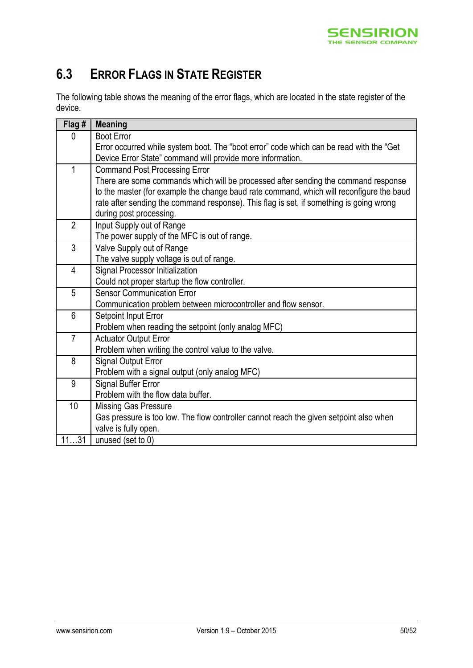

# <span id="page-49-0"></span>**6.3 ERROR FLAGS IN STATE REGISTER**

The following table shows the meaning of the error flags, which are located in the state register of the device.

| Flag #         | <b>Meaning</b>                                                                           |
|----------------|------------------------------------------------------------------------------------------|
| 0              | <b>Boot Error</b>                                                                        |
|                | Error occurred while system boot. The "boot error" code which can be read with the "Get  |
|                | Device Error State" command will provide more information.                               |
| 1              | <b>Command Post Processing Error</b>                                                     |
|                | There are some commands which will be processed after sending the command response       |
|                | to the master (for example the change baud rate command, which will reconfigure the baud |
|                | rate after sending the command response). This flag is set, if something is going wrong  |
|                | during post processing.                                                                  |
| $\overline{2}$ | Input Supply out of Range                                                                |
|                | The power supply of the MFC is out of range.                                             |
| $\mathfrak{Z}$ | Valve Supply out of Range                                                                |
|                | The valve supply voltage is out of range.                                                |
| 4              | Signal Processor Initialization                                                          |
|                | Could not proper startup the flow controller.                                            |
| 5              | <b>Sensor Communication Error</b>                                                        |
|                | Communication problem between microcontroller and flow sensor.                           |
| $6\phantom{a}$ | Setpoint Input Error                                                                     |
|                | Problem when reading the setpoint (only analog MFC)                                      |
| $\overline{7}$ | <b>Actuator Output Error</b>                                                             |
|                | Problem when writing the control value to the valve.                                     |
| 8              | <b>Signal Output Error</b>                                                               |
|                | Problem with a signal output (only analog MFC)                                           |
| 9              | Signal Buffer Error                                                                      |
|                | Problem with the flow data buffer.                                                       |
| 10             | Missing Gas Pressure                                                                     |
|                | Gas pressure is too low. The flow controller cannot reach the given setpoint also when   |
|                | valve is fully open.                                                                     |
| 1131           | unused (set to 0)                                                                        |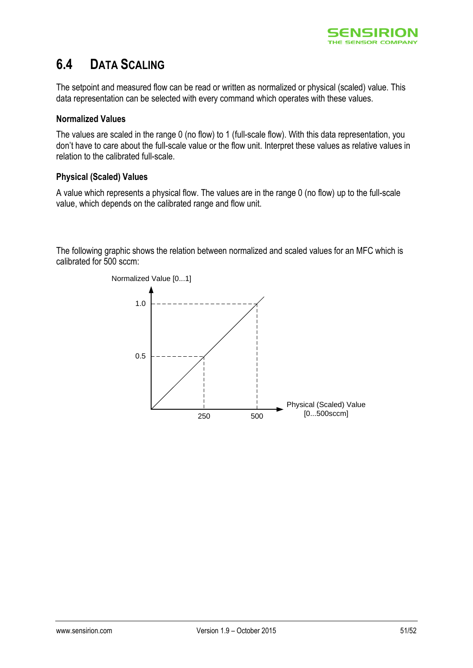

## <span id="page-50-0"></span>**6.4 DATA SCALING**

The setpoint and measured flow can be read or written as normalized or physical (scaled) value. This data representation can be selected with every command which operates with these values.

#### **Normalized Values**

The values are scaled in the range 0 (no flow) to 1 (full-scale flow). With this data representation, you don't have to care about the full-scale value or the flow unit. Interpret these values as relative values in relation to the calibrated full-scale.

#### **Physical (Scaled) Values**

A value which represents a physical flow. The values are in the range 0 (no flow) up to the full-scale value, which depends on the calibrated range and flow unit.

The following graphic shows the relation between normalized and scaled values for an MFC which is calibrated for 500 sccm: